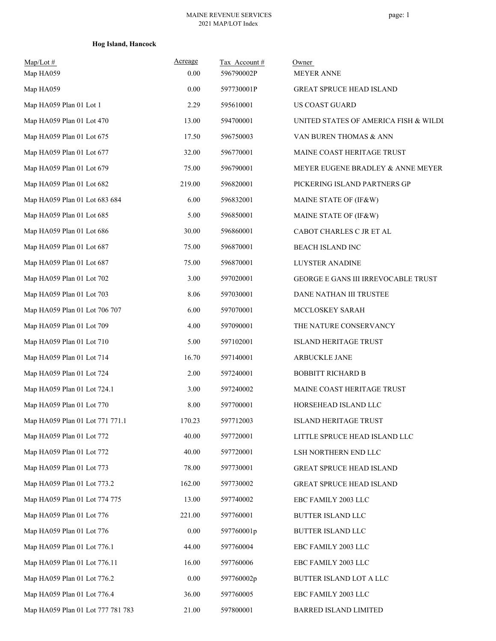## **Hog Island, Hancock**

| $Map/Lot \#$<br>Map HA059         | <b>Acreage</b><br>0.00 | Tax Account#<br>596790002P | Owner<br><b>MEYER ANNE</b>            |
|-----------------------------------|------------------------|----------------------------|---------------------------------------|
| Map HA059                         | 0.00                   | 597730001P                 | <b>GREAT SPRUCE HEAD ISLAND</b>       |
| Map HA059 Plan 01 Lot 1           | 2.29                   | 595610001                  | US COAST GUARD                        |
| Map HA059 Plan 01 Lot 470         | 13.00                  | 594700001                  | UNITED STATES OF AMERICA FISH & WILDI |
| Map HA059 Plan 01 Lot 675         | 17.50                  | 596750003                  | VAN BUREN THOMAS & ANN                |
| Map HA059 Plan 01 Lot 677         | 32.00                  | 596770001                  | MAINE COAST HERITAGE TRUST            |
| Map HA059 Plan 01 Lot 679         | 75.00                  | 596790001                  | MEYER EUGENE BRADLEY & ANNE MEYER     |
| Map HA059 Plan 01 Lot 682         | 219.00                 | 596820001                  | PICKERING ISLAND PARTNERS GP          |
| Map HA059 Plan 01 Lot 683 684     | 6.00                   | 596832001                  | MAINE STATE OF (IF&W)                 |
| Map HA059 Plan 01 Lot 685         | 5.00                   | 596850001                  | MAINE STATE OF (IF&W)                 |
| Map HA059 Plan 01 Lot 686         | 30.00                  | 596860001                  | CABOT CHARLES C JR ET AL              |
| Map HA059 Plan 01 Lot 687         | 75.00                  | 596870001                  | <b>BEACH ISLAND INC</b>               |
| Map HA059 Plan 01 Lot 687         | 75.00                  | 596870001                  | <b>LUYSTER ANADINE</b>                |
| Map HA059 Plan 01 Lot 702         | 3.00                   | 597020001                  | GEORGE E GANS III IRREVOCABLE TRUST   |
| Map HA059 Plan 01 Lot 703         | 8.06                   | 597030001                  | DANE NATHAN III TRUSTEE               |
| Map HA059 Plan 01 Lot 706 707     | 6.00                   | 597070001                  | MCCLOSKEY SARAH                       |
| Map HA059 Plan 01 Lot 709         | 4.00                   | 597090001                  | THE NATURE CONSERVANCY                |
| Map HA059 Plan 01 Lot 710         | 5.00                   | 597102001                  | <b>ISLAND HERITAGE TRUST</b>          |
| Map HA059 Plan 01 Lot 714         | 16.70                  | 597140001                  | ARBUCKLE JANE                         |
| Map HA059 Plan 01 Lot 724         | 2.00                   | 597240001                  | <b>BOBBITT RICHARD B</b>              |
| Map HA059 Plan 01 Lot 724.1       | 3.00                   | 597240002                  | MAINE COAST HERITAGE TRUST            |
| Map HA059 Plan 01 Lot 770         | 8.00                   | 597700001                  | HORSEHEAD ISLAND LLC                  |
| Map HA059 Plan 01 Lot 771 771.1   | 170.23                 | 597712003                  | <b>ISLAND HERITAGE TRUST</b>          |
| Map HA059 Plan 01 Lot 772         | 40.00                  | 597720001                  | LITTLE SPRUCE HEAD ISLAND LLC         |
| Map HA059 Plan 01 Lot 772         | 40.00                  | 597720001                  | LSH NORTHERN END LLC                  |
| Map HA059 Plan 01 Lot 773         | 78.00                  | 597730001                  | GREAT SPRUCE HEAD ISLAND              |
| Map HA059 Plan 01 Lot 773.2       | 162.00                 | 597730002                  | GREAT SPRUCE HEAD ISLAND              |
| Map HA059 Plan 01 Lot 774 775     | 13.00                  | 597740002                  | EBC FAMILY 2003 LLC                   |
| Map HA059 Plan 01 Lot 776         | 221.00                 | 597760001                  | BUTTER ISLAND LLC                     |
| Map HA059 Plan 01 Lot 776         | 0.00                   | 597760001p                 | BUTTER ISLAND LLC                     |
| Map HA059 Plan 01 Lot 776.1       | 44.00                  | 597760004                  | EBC FAMILY 2003 LLC                   |
| Map HA059 Plan 01 Lot 776.11      | 16.00                  | 597760006                  | EBC FAMILY 2003 LLC                   |
| Map HA059 Plan 01 Lot 776.2       | 0.00                   | 597760002p                 | BUTTER ISLAND LOT A LLC               |
| Map HA059 Plan 01 Lot 776.4       | 36.00                  | 597760005                  | EBC FAMILY 2003 LLC                   |
| Map HA059 Plan 01 Lot 777 781 783 | 21.00                  | 597800001                  | BARRED ISLAND LIMITED                 |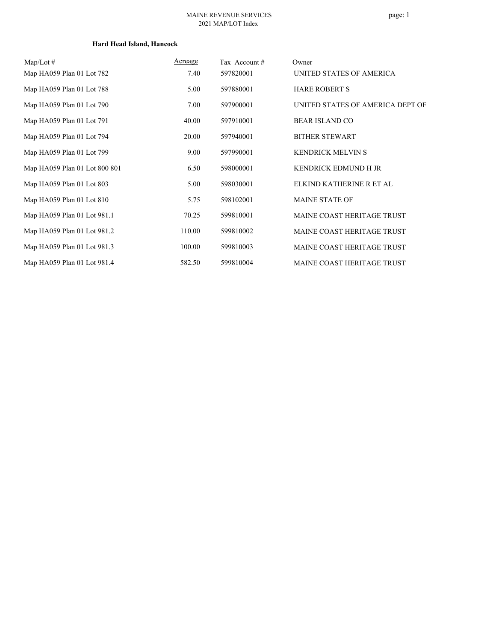#### **Hard Head Island, Hancock**

| $Map/Lot \#$                  | Acreage | Tax Account# | Owner                             |
|-------------------------------|---------|--------------|-----------------------------------|
| Map HA059 Plan 01 Lot 782     | 7.40    | 597820001    | UNITED STATES OF AMERICA          |
| Map HA059 Plan 01 Lot 788     | 5.00    | 597880001    | <b>HARE ROBERT S</b>              |
| Map HA059 Plan 01 Lot 790     | 7.00    | 597900001    | UNITED STATES OF AMERICA DEPT OF  |
| Map HA059 Plan 01 Lot 791     | 40.00   | 597910001    | <b>BEAR ISLAND CO</b>             |
| Map HA059 Plan 01 Lot 794     | 20.00   | 597940001    | <b>BITHER STEWART</b>             |
| Map HA059 Plan 01 Lot 799     | 9.00    | 597990001    | <b>KENDRICK MELVIN S</b>          |
| Map HA059 Plan 01 Lot 800 801 | 6.50    | 598000001    | <b>KENDRICK EDMUND H JR</b>       |
| Map HA059 Plan 01 Lot 803     | 5.00    | 598030001    | ELKIND KATHERINE R ET AL          |
| Map HA059 Plan 01 Lot 810     | 5.75    | 598102001    | <b>MAINE STATE OF</b>             |
| Map HA059 Plan 01 Lot 981.1   | 70.25   | 599810001    | <b>MAINE COAST HERITAGE TRUST</b> |
| Map HA059 Plan 01 Lot 981.2   | 110.00  | 599810002    | <b>MAINE COAST HERITAGE TRUST</b> |
| Map HA059 Plan 01 Lot 981.3   | 100.00  | 599810003    | MAINE COAST HERITAGE TRUST        |
| Map HA059 Plan 01 Lot 981.4   | 582.50  | 599810004    | <b>MAINE COAST HERITAGE TRUST</b> |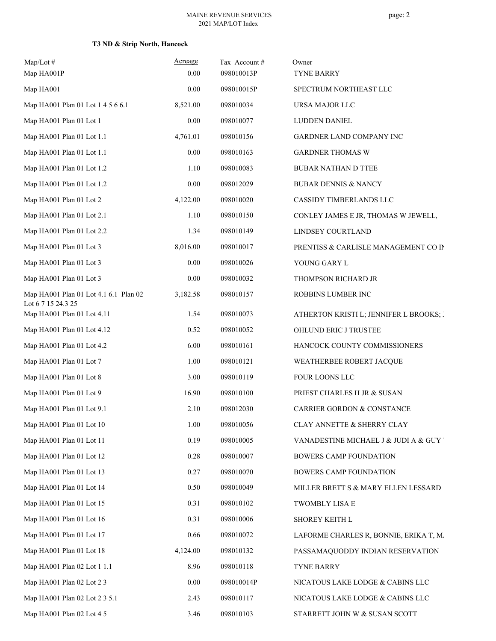| $Map/Lot$ #                                      | Acreage  | Tax Account# | Owner                                   |
|--------------------------------------------------|----------|--------------|-----------------------------------------|
| Map HA001P                                       | 0.00     | 098010013P   | TYNE BARRY                              |
| Map HA001                                        | 0.00     | 098010015P   | SPECTRUM NORTHEAST LLC                  |
| Map HA001 Plan 01 Lot 1 4 5 6 6.1                | 8,521.00 | 098010034    | URSA MAJOR LLC                          |
| Map HA001 Plan 01 Lot 1                          | 0.00     | 098010077    | LUDDEN DANIEL                           |
| Map HA001 Plan 01 Lot 1.1                        | 4,761.01 | 098010156    | GARDNER LAND COMPANY INC                |
| Map HA001 Plan 01 Lot 1.1                        | 0.00     | 098010163    | <b>GARDNER THOMAS W</b>                 |
| Map HA001 Plan 01 Lot 1.2                        | 1.10     | 098010083    | <b>BUBAR NATHAN D TTEE</b>              |
| Map HA001 Plan 01 Lot 1.2                        | 0.00     | 098012029    | <b>BUBAR DENNIS &amp; NANCY</b>         |
| Map HA001 Plan 01 Lot 2                          | 4,122.00 | 098010020    | CASSIDY TIMBERLANDS LLC                 |
| Map HA001 Plan 01 Lot 2.1                        | 1.10     | 098010150    | CONLEY JAMES E JR, THOMAS W JEWELL,     |
| Map HA001 Plan 01 Lot 2.2                        | 1.34     | 098010149    | LINDSEY COURTLAND                       |
| Map HA001 Plan 01 Lot 3                          | 8,016.00 | 098010017    | PRENTISS & CARLISLE MANAGEMENT CO IN    |
| Map HA001 Plan 01 Lot 3                          | 0.00     | 098010026    | YOUNG GARY L                            |
| Map HA001 Plan 01 Lot 3                          | 0.00     | 098010032    | THOMPSON RICHARD JR                     |
| Map HA001 Plan 01 Lot 4.1 6.1 Plan 02            | 3,182.58 | 098010157    | ROBBINS LUMBER INC                      |
| Lot 6 7 15 24.3 25<br>Map HA001 Plan 01 Lot 4.11 | 1.54     | 098010073    | ATHERTON KRISTI L; JENNIFER L BROOKS; . |
| Map HA001 Plan 01 Lot 4.12                       | 0.52     | 098010052    | OHLUND ERIC J TRUSTEE                   |
| Map HA001 Plan 01 Lot 4.2                        | 6.00     | 098010161    | HANCOCK COUNTY COMMISSIONERS            |
| Map HA001 Plan 01 Lot 7                          | 1.00     | 098010121    | WEATHERBEE ROBERT JACQUE                |
| Map HA001 Plan 01 Lot 8                          | 3.00     | 098010119    | FOUR LOONS LLC                          |
| Map HA001 Plan 01 Lot 9                          | 16.90    | 098010100    | PRIEST CHARLES H JR & SUSAN             |
| Map HA001 Plan 01 Lot 9.1                        | 2.10     | 098012030    | <b>CARRIER GORDON &amp; CONSTANCE</b>   |
| Map HA001 Plan 01 Lot 10                         | 1.00     | 098010056    | CLAY ANNETTE & SHERRY CLAY              |
| Map HA001 Plan 01 Lot 11                         | 0.19     | 098010005    | VANADESTINE MICHAEL J & JUDI A & GUY '  |
| Map HA001 Plan 01 Lot 12                         | 0.28     | 098010007    | BOWERS CAMP FOUNDATION                  |
| Map HA001 Plan 01 Lot 13                         | 0.27     | 098010070    | BOWERS CAMP FOUNDATION                  |
| Map HA001 Plan 01 Lot 14                         | 0.50     | 098010049    | MILLER BRETT S & MARY ELLEN LESSARD     |
| Map HA001 Plan 01 Lot 15                         | 0.31     | 098010102    | TWOMBLY LISA E                          |
| Map HA001 Plan 01 Lot 16                         | 0.31     | 098010006    | SHOREY KEITH L                          |
| Map HA001 Plan 01 Lot 17                         | 0.66     | 098010072    | LAFORME CHARLES R, BONNIE, ERIKA T, M.  |
| Map HA001 Plan 01 Lot 18                         | 4,124.00 | 098010132    | PASSAMAQUODDY INDIAN RESERVATION        |
| Map HA001 Plan 02 Lot 1 1.1                      | 8.96     | 098010118    | TYNE BARRY                              |
| Map HA001 Plan 02 Lot 2 3                        | 0.00     | 098010014P   | NICATOUS LAKE LODGE & CABINS LLC        |
| Map HA001 Plan 02 Lot 2 3 5.1                    | 2.43     | 098010117    | NICATOUS LAKE LODGE & CABINS LLC        |
| Map HA001 Plan 02 Lot 4 5                        | 3.46     | 098010103    | STARRETT JOHN W & SUSAN SCOTT           |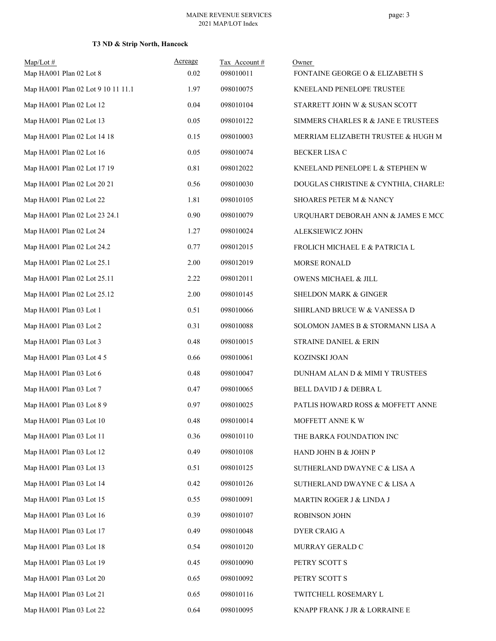| $Map/Lot$ #<br>Map HA001 Plan 02 Lot 8 | Acreage<br>0.02 | Tax Account#<br>098010011 | Owner<br>FONTAINE GEORGE O & ELIZABETH S |
|----------------------------------------|-----------------|---------------------------|------------------------------------------|
| Map HA001 Plan 02 Lot 9 10 11 11.1     | 1.97            | 098010075                 | KNEELAND PENELOPE TRUSTEE                |
|                                        | 0.04            | 098010104                 |                                          |
| Map HA001 Plan 02 Lot 12               |                 |                           | STARRETT JOHN W & SUSAN SCOTT            |
| Map HA001 Plan 02 Lot 13               | 0.05            | 098010122                 | SIMMERS CHARLES R & JANE E TRUSTEES      |
| Map HA001 Plan 02 Lot 14 18            | 0.15            | 098010003                 | MERRIAM ELIZABETH TRUSTEE & HUGH M       |
| Map HA001 Plan 02 Lot 16               | 0.05            | 098010074                 | <b>BECKER LISA C</b>                     |
| Map HA001 Plan 02 Lot 17 19            | 0.81            | 098012022                 | KNEELAND PENELOPE L & STEPHEN W          |
| Map HA001 Plan 02 Lot 20 21            | 0.56            | 098010030                 | DOUGLAS CHRISTINE & CYNTHIA, CHARLES     |
| Map HA001 Plan 02 Lot 22               | 1.81            | 098010105                 | SHOARES PETER M & NANCY                  |
| Map HA001 Plan 02 Lot 23 24.1          | 0.90            | 098010079                 | URQUHART DEBORAH ANN & JAMES E MCC       |
| Map HA001 Plan 02 Lot 24               | 1.27            | 098010024                 | ALEKSIEWICZ JOHN                         |
| Map HA001 Plan 02 Lot 24.2             | 0.77            | 098012015                 | FROLICH MICHAEL E & PATRICIA L           |
| Map HA001 Plan 02 Lot 25.1             | 2.00            | 098012019                 | MORSE RONALD                             |
| Map HA001 Plan 02 Lot 25.11            | 2.22            | 098012011                 | OWENS MICHAEL & JILL                     |
| Map HA001 Plan 02 Lot 25.12            | 2.00            | 098010145                 | SHELDON MARK & GINGER                    |
| Map HA001 Plan 03 Lot 1                | 0.51            | 098010066                 | SHIRLAND BRUCE W & VANESSA D             |
| Map HA001 Plan 03 Lot 2                | 0.31            | 098010088                 | SOLOMON JAMES B & STORMANN LISA A        |
| Map HA001 Plan 03 Lot 3                | 0.48            | 098010015                 | STRAINE DANIEL & ERIN                    |
| Map HA001 Plan 03 Lot 4 5              | 0.66            | 098010061                 | KOZINSKI JOAN                            |
| Map HA001 Plan 03 Lot 6                | 0.48            | 098010047                 | DUNHAM ALAN D & MIMI Y TRUSTEES          |
| Map HA001 Plan 03 Lot 7                | 0.47            | 098010065                 | BELL DAVID J & DEBRA L                   |
| Map HA001 Plan 03 Lot 8 9              | 0.97            | 098010025                 | PATLIS HOWARD ROSS & MOFFETT ANNE        |
| Map HA001 Plan 03 Lot 10               | 0.48            | 098010014                 | MOFFETT ANNE K W                         |
| Map HA001 Plan 03 Lot 11               | 0.36            | 098010110                 | THE BARKA FOUNDATION INC                 |
| Map HA001 Plan 03 Lot 12               | 0.49            | 098010108                 | HAND JOHN B & JOHN P                     |
| Map HA001 Plan 03 Lot 13               | 0.51            | 098010125                 | SUTHERLAND DWAYNE C & LISA A             |
| Map HA001 Plan 03 Lot 14               | 0.42            | 098010126                 | SUTHERLAND DWAYNE C & LISA A             |
| Map HA001 Plan 03 Lot 15               | 0.55            | 098010091                 | MARTIN ROGER J & LINDA J                 |
| Map HA001 Plan 03 Lot 16               | 0.39            | 098010107                 | ROBINSON JOHN                            |
| Map HA001 Plan 03 Lot 17               | 0.49            | 098010048                 | <b>DYER CRAIG A</b>                      |
| Map HA001 Plan 03 Lot 18               | 0.54            | 098010120                 | MURRAY GERALD C                          |
| Map HA001 Plan 03 Lot 19               | 0.45            | 098010090                 | PETRY SCOTT S                            |
| Map HA001 Plan 03 Lot 20               | 0.65            | 098010092                 | PETRY SCOTT S                            |
| Map HA001 Plan 03 Lot 21               | 0.65            | 098010116                 | TWITCHELL ROSEMARY L                     |
| Map HA001 Plan 03 Lot 22               | 0.64            | 098010095                 | KNAPP FRANK J JR $\&$ LORRAINE $E$       |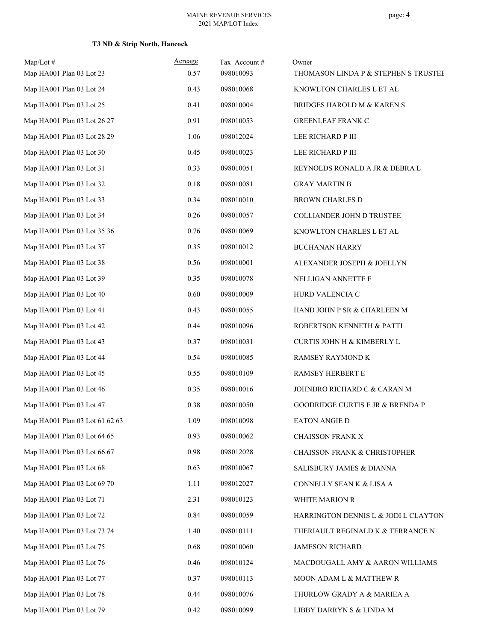| $Map/Lot \#$<br>Map HA001 Plan 03 Lot 23 | Acreage<br>0.57 | Tax Account#<br>098010093 | Owner<br>THOMASON LINDA P & STEPHEN S TRUSTEE |
|------------------------------------------|-----------------|---------------------------|-----------------------------------------------|
| Map HA001 Plan 03 Lot 24                 | 0.43            | 098010068                 | KNOWLTON CHARLES L ET AL                      |
| Map HA001 Plan 03 Lot 25                 | 0.41            | 098010004                 | BRIDGES HAROLD M & KAREN S                    |
| Map HA001 Plan 03 Lot 26 27              | 0.91            | 098010053                 | <b>GREENLEAF FRANK C</b>                      |
| Map HA001 Plan 03 Lot 28 29              | 1.06            | 098012024                 | LEE RICHARD P III                             |
| Map HA001 Plan 03 Lot 30                 | 0.45            | 098010023                 | LEE RICHARD P III                             |
| Map HA001 Plan 03 Lot 31                 | 0.33            | 098010051                 | REYNOLDS RONALD A JR & DEBRA L                |
| Map HA001 Plan 03 Lot 32                 | 0.18            | 098010081                 | <b>GRAY MARTIN B</b>                          |
| Map HA001 Plan 03 Lot 33                 | 0.34            | 098010010                 | <b>BROWN CHARLES D</b>                        |
| Map HA001 Plan 03 Lot 34                 | 0.26            | 098010057                 | COLLIANDER JOHN D TRUSTEE                     |
| Map HA001 Plan 03 Lot 35 36              | 0.76            | 098010069                 | KNOWLTON CHARLES L ET AL                      |
| Map HA001 Plan 03 Lot 37                 | 0.35            | 098010012                 | <b>BUCHANAN HARRY</b>                         |
| Map HA001 Plan 03 Lot 38                 | 0.56            | 098010001                 | ALEXANDER JOSEPH & JOELLYN                    |
| Map HA001 Plan 03 Lot 39                 | 0.35            | 098010078                 | NELLIGAN ANNETTE F                            |
| Map HA001 Plan 03 Lot 40                 | 0.60            | 098010009                 | HURD VALENCIA C                               |
| Map HA001 Plan 03 Lot 41                 | 0.43            | 098010055                 | HAND JOHN P SR & CHARLEEN M                   |
| Map HA001 Plan 03 Lot 42                 | 0.44            | 098010096                 | ROBERTSON KENNETH & PATTI                     |
| Map HA001 Plan 03 Lot 43                 | 0.37            | 098010031                 | CURTIS JOHN H & KIMBERLY L                    |
| Map HA001 Plan 03 Lot 44                 | 0.54            | 098010085                 | RAMSEY RAYMOND K                              |
| Map HA001 Plan 03 Lot 45                 | 0.55            | 098010109                 | RAMSEY HERBERT E                              |
| Map HA001 Plan 03 Lot 46                 | 0.35            | 098010016                 | JOHNDRO RICHARD C & CARAN M                   |
| Map HA001 Plan 03 Lot 47                 | 0.38            | 098010050                 | <b>GOODRIDGE CURTIS E JR &amp; BRENDA P</b>   |
| Map HA001 Plan 03 Lot 61 62 63           | 1.09            | 098010098                 | EATON ANGIE D                                 |
| Map HA001 Plan 03 Lot 64 65              | 0.93            | 098010062                 | <b>CHAISSON FRANK X</b>                       |
| Map HA001 Plan 03 Lot 66 67              | 0.98            | 098012028                 | <b>CHAISSON FRANK &amp; CHRISTOPHER</b>       |
| Map HA001 Plan 03 Lot 68                 | 0.63            | 098010067                 | SALISBURY JAMES & DIANNA                      |
| Map HA001 Plan 03 Lot 69 70              | 1.11            | 098012027                 | CONNELLY SEAN K & LISA A                      |
| Map HA001 Plan 03 Lot 71                 | 2.31            | 098010123                 | WHITE MARION R                                |
| Map HA001 Plan 03 Lot 72                 | 0.84            | 098010059                 | HARRINGTON DENNIS L & JODI L CLAYTON          |
| Map HA001 Plan 03 Lot 73 74              | 1.40            | 098010111                 | THERIAULT REGINALD K & TERRANCE N             |
| Map HA001 Plan 03 Lot 75                 | 0.68            | 098010060                 | <b>JAMESON RICHARD</b>                        |
| Map HA001 Plan 03 Lot 76                 | 0.46            | 098010124                 | MACDOUGALL AMY & AARON WILLIAMS               |
| Map HA001 Plan 03 Lot 77                 | 0.37            | 098010113                 | MOON ADAM L & MATTHEW R                       |
| Map HA001 Plan 03 Lot 78                 | 0.44            | 098010076                 | THURLOW GRADY A & MARIEA A                    |
| Map HA001 Plan 03 Lot 79                 | 0.42            | 098010099                 | LIBBY DARRYN S & LINDA M                      |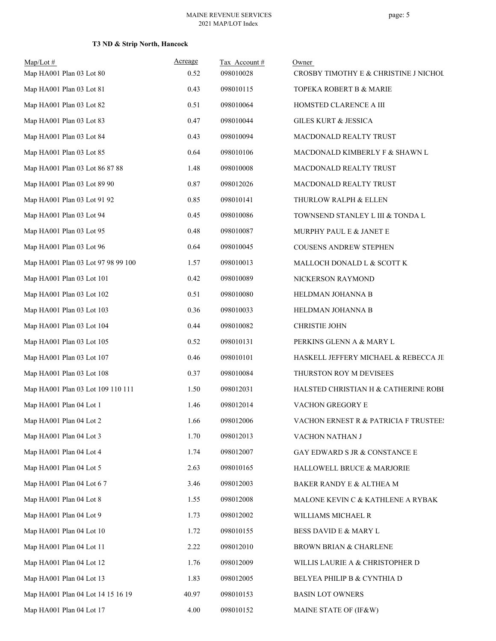| $Map/Lot \#$<br>Map HA001 Plan 03 Lot 80 | Acreage<br>0.52 | Tax Account#<br>098010028 | Owner<br>CROSBY TIMOTHY E & CHRISTINE J NICHOL |
|------------------------------------------|-----------------|---------------------------|------------------------------------------------|
| Map HA001 Plan 03 Lot 81                 | 0.43            | 098010115                 | TOPEKA ROBERT B & MARIE                        |
| Map HA001 Plan 03 Lot 82                 | 0.51            | 098010064                 | HOMSTED CLARENCE A III                         |
| Map HA001 Plan 03 Lot 83                 | 0.47            | 098010044                 | <b>GILES KURT &amp; JESSICA</b>                |
| Map HA001 Plan 03 Lot 84                 | 0.43            | 098010094                 | MACDONALD REALTY TRUST                         |
| Map HA001 Plan 03 Lot 85                 | 0.64            | 098010106                 | MACDONALD KIMBERLY F & SHAWN L                 |
| Map HA001 Plan 03 Lot 86 87 88           | 1.48            | 098010008                 | MACDONALD REALTY TRUST                         |
| Map HA001 Plan 03 Lot 89 90              | 0.87            | 098012026                 | MACDONALD REALTY TRUST                         |
| Map HA001 Plan 03 Lot 91 92              | 0.85            | 098010141                 | THURLOW RALPH & ELLEN                          |
| Map HA001 Plan 03 Lot 94                 | 0.45            | 098010086                 | TOWNSEND STANLEY L III & TONDA L               |
| Map HA001 Plan 03 Lot 95                 | 0.48            | 098010087                 | MURPHY PAUL E & JANET E                        |
| Map HA001 Plan 03 Lot 96                 | 0.64            | 098010045                 | <b>COUSENS ANDREW STEPHEN</b>                  |
| Map HA001 Plan 03 Lot 97 98 99 100       | 1.57            | 098010013                 | MALLOCH DONALD L & SCOTT K                     |
| Map HA001 Plan 03 Lot 101                | 0.42            | 098010089                 | NICKERSON RAYMOND                              |
| Map HA001 Plan 03 Lot 102                | 0.51            | 098010080                 | HELDMAN JOHANNA B                              |
| Map HA001 Plan 03 Lot 103                | 0.36            | 098010033                 | HELDMAN JOHANNA B                              |
| Map HA001 Plan 03 Lot 104                | 0.44            | 098010082                 | CHRISTIE JOHN                                  |
| Map HA001 Plan 03 Lot 105                | 0.52            | 098010131                 | PERKINS GLENN A & MARY L                       |
| Map HA001 Plan 03 Lot 107                | 0.46            | 098010101                 | HASKELL JEFFERY MICHAEL & REBECCA JII          |
| Map HA001 Plan 03 Lot 108                | 0.37            | 098010084                 | THURSTON ROY M DEVISEES                        |
| Map HA001 Plan 03 Lot 109 110 111        | 1.50            | 098012031                 | HALSTED CHRISTIAN H & CATHERINE ROBE           |
| Map HA001 Plan 04 Lot 1                  | 1.46            | 098012014                 | <b>VACHON GREGORY E</b>                        |
| Map HA001 Plan 04 Lot 2                  | 1.66            | 098012006                 | VACHON ERNEST R & PATRICIA F TRUSTEE!          |
| Map HA001 Plan 04 Lot 3                  | 1.70            | 098012013                 | VACHON NATHAN J                                |
| Map HA001 Plan 04 Lot 4                  | 1.74            | 098012007                 | GAY EDWARD S JR & CONSTANCE E                  |
| Map HA001 Plan 04 Lot 5                  | 2.63            | 098010165                 | HALLOWELL BRUCE & MARJORIE                     |
| Map HA001 Plan 04 Lot 6 7                | 3.46            | 098012003                 | BAKER RANDY E & ALTHEA M                       |
| Map HA001 Plan 04 Lot 8                  | 1.55            | 098012008                 | MALONE KEVIN C & KATHLENE A RYBAK              |
| Map HA001 Plan 04 Lot 9                  | 1.73            | 098012002                 | WILLIAMS MICHAEL R                             |
| Map HA001 Plan 04 Lot 10                 | 1.72            | 098010155                 | BESS DAVID E & MARY L                          |
| Map HA001 Plan 04 Lot 11                 | 2.22            | 098012010                 | BROWN BRIAN & CHARLENE                         |
| Map HA001 Plan 04 Lot 12                 | 1.76            | 098012009                 | WILLIS LAURIE A & CHRISTOPHER D                |
| Map HA001 Plan 04 Lot 13                 | 1.83            | 098012005                 | BELYEA PHILIP B & CYNTHIA D                    |
| Map HA001 Plan 04 Lot 14 15 16 19        | 40.97           | 098010153                 | <b>BASIN LOT OWNERS</b>                        |
| Map HA001 Plan 04 Lot 17                 | 4.00            | 098010152                 | MAINE STATE OF (IF&W)                          |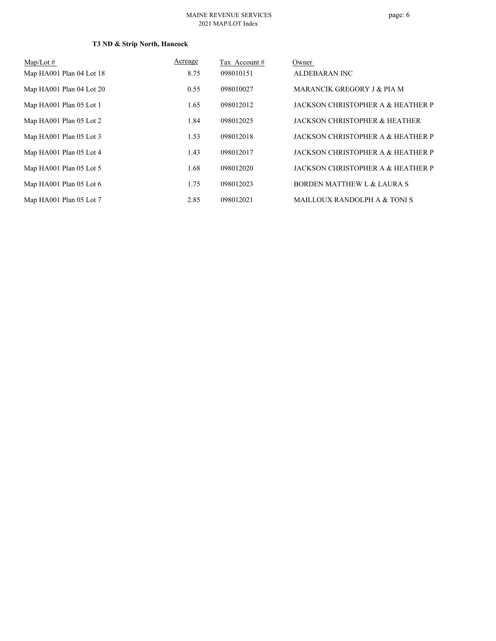#### MAINE REVENUE SERVICES 2021 MAP/LOT Index

| Map/Lot $#$              | Acreage | Tax Account # | Owner                                    |
|--------------------------|---------|---------------|------------------------------------------|
| Map HA001 Plan 04 Lot 18 | 8.75    | 098010151     | ALDEBARAN INC                            |
| Map HA001 Plan 04 Lot 20 | 0.55    | 098010027     | MARANCIK GREGORY J & PIA M               |
| Map HA001 Plan 05 Lot 1  | 1.65    | 098012012     | JACKSON CHRISTOPHER A & HEATHER P        |
| Map HA001 Plan 05 Lot 2  | 1.84    | 098012025     | <b>JACKSON CHRISTOPHER &amp; HEATHER</b> |
| Map HA001 Plan 05 Lot 3  | 1.53    | 098012018     | JACKSON CHRISTOPHER A & HEATHER P        |
| Map HA001 Plan 05 Lot 4  | 1.43    | 098012017     | JACKSON CHRISTOPHER A & HEATHER P        |
| Map HA001 Plan 05 Lot 5  | 1.68    | 098012020     | JACKSON CHRISTOPHER A & HEATHER P        |
| Map HA001 Plan 05 Lot 6  | 1.75    | 098012023     | <b>BORDEN MATTHEW L &amp; LAURA S</b>    |
| Map HA001 Plan 05 Lot 7  | 2.85    | 098012021     | MAILLOUX RANDOLPH A & TONI S             |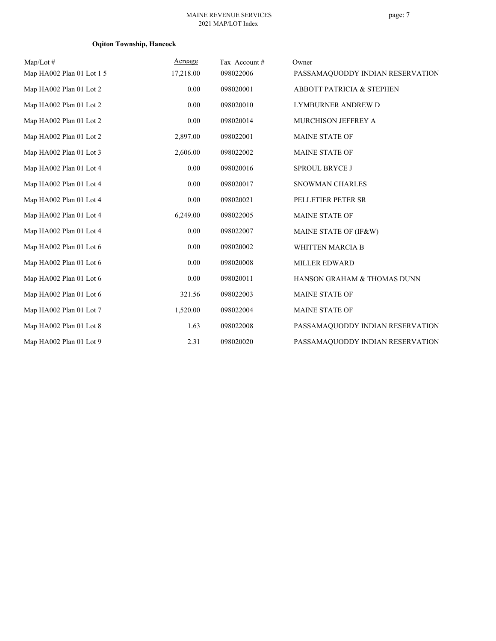#### page: 7

## **Oqiton Township, Hancock**

| $Map/Lot \#$              | Acreage   | Tax Account# | Owner                                |
|---------------------------|-----------|--------------|--------------------------------------|
| Map HA002 Plan 01 Lot 1 5 | 17,218.00 | 098022006    | PASSAMAQUODDY INDIAN RESERVATION     |
| Map HA002 Plan 01 Lot 2   | 0.00      | 098020001    | <b>ABBOTT PATRICIA &amp; STEPHEN</b> |
| Map HA002 Plan 01 Lot 2   | 0.00      | 098020010    | LYMBURNER ANDREW D                   |
| Map HA002 Plan 01 Lot 2   | 0.00      | 098020014    | MURCHISON JEFFREY A                  |
| Map HA002 Plan 01 Lot 2   | 2,897.00  | 098022001    | MAINE STATE OF                       |
| Map HA002 Plan 01 Lot 3   | 2,606.00  | 098022002    | <b>MAINE STATE OF</b>                |
| Map HA002 Plan 01 Lot 4   | 0.00      | 098020016    | <b>SPROUL BRYCE J</b>                |
| Map HA002 Plan 01 Lot 4   | 0.00      | 098020017    | SNOWMAN CHARLES                      |
| Map HA002 Plan 01 Lot 4   | 0.00      | 098020021    | PELLETIER PETER SR                   |
| Map HA002 Plan 01 Lot 4   | 6,249.00  | 098022005    | <b>MAINE STATE OF</b>                |
| Map HA002 Plan 01 Lot 4   | 0.00      | 098022007    | MAINE STATE OF (IF&W)                |
| Map HA002 Plan 01 Lot 6   | 0.00      | 098020002    | <b>WHITTEN MARCIA B</b>              |
| Map HA002 Plan 01 Lot 6   | 0.00      | 098020008    | <b>MILLER EDWARD</b>                 |
| Map HA002 Plan 01 Lot 6   | 0.00      | 098020011    | HANSON GRAHAM & THOMAS DUNN          |
| Map HA002 Plan 01 Lot 6   | 321.56    | 098022003    | <b>MAINE STATE OF</b>                |
| Map HA002 Plan 01 Lot 7   | 1,520.00  | 098022004    | <b>MAINE STATE OF</b>                |
| Map HA002 Plan 01 Lot 8   | 1.63      | 098022008    | PASSAMAQUODDY INDIAN RESERVATION     |
| Map HA002 Plan 01 Lot 9   | 2.31      | 098020020    | PASSAMAQUODDY INDIAN RESERVATION     |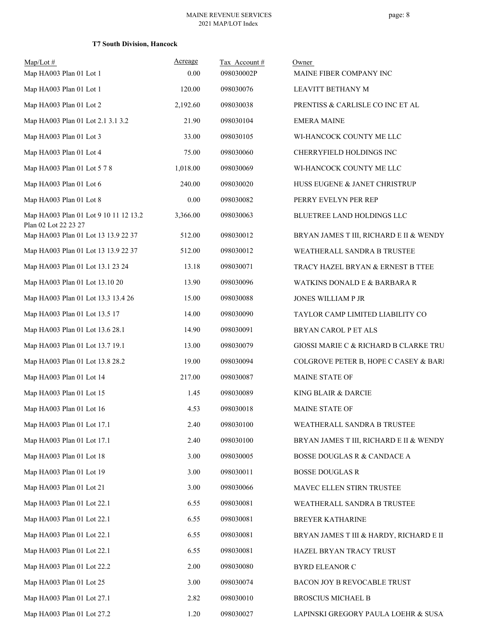| Map/Lot#                                                      | Acreage  | Tax Account# | Owner                                   |
|---------------------------------------------------------------|----------|--------------|-----------------------------------------|
| Map HA003 Plan 01 Lot 1                                       | 0.00     | 098030002P   | MAINE FIBER COMPANY INC                 |
| Map HA003 Plan 01 Lot 1                                       | 120.00   | 098030076    | LEAVITT BETHANY M                       |
| Map HA003 Plan 01 Lot 2                                       | 2,192.60 | 098030038    | PRENTISS & CARLISLE CO INC ET AL        |
| Map HA003 Plan 01 Lot 2.1 3.1 3.2                             | 21.90    | 098030104    | <b>EMERA MAINE</b>                      |
| Map HA003 Plan 01 Lot 3                                       | 33.00    | 098030105    | WI-HANCOCK COUNTY ME LLC                |
| Map HA003 Plan 01 Lot 4                                       | 75.00    | 098030060    | CHERRYFIELD HOLDINGS INC                |
| Map HA003 Plan 01 Lot 5 7 8                                   | 1,018.00 | 098030069    | WI-HANCOCK COUNTY ME LLC                |
| Map HA003 Plan 01 Lot 6                                       | 240.00   | 098030020    | HUSS EUGENE & JANET CHRISTRUP           |
| Map HA003 Plan 01 Lot 8                                       | 0.00     | 098030082    | PERRY EVELYN PER REP                    |
| Map HA003 Plan 01 Lot 9 10 11 12 13.2<br>Plan 02 Lot 22 23 27 | 3,366.00 | 098030063    | BLUETREE LAND HOLDINGS LLC              |
| Map HA003 Plan 01 Lot 13 13.9 22 37                           | 512.00   | 098030012    | BRYAN JAMES T III, RICHARD E II & WENDY |
| Map HA003 Plan 01 Lot 13 13.9 22 37                           | 512.00   | 098030012    | WEATHERALL SANDRA B TRUSTEE             |
| Map HA003 Plan 01 Lot 13.1 23 24                              | 13.18    | 098030071    | TRACY HAZEL BRYAN & ERNEST B TTEE       |
| Map HA003 Plan 01 Lot 13.10 20                                | 13.90    | 098030096    | WATKINS DONALD E & BARBARA R            |
| Map HA003 Plan 01 Lot 13.3 13.4 26                            | 15.00    | 098030088    | JONES WILLIAM P JR                      |
| Map HA003 Plan 01 Lot 13.5 17                                 | 14.00    | 098030090    | TAYLOR CAMP LIMITED LIABILITY CO        |
| Map HA003 Plan 01 Lot 13.6 28.1                               | 14.90    | 098030091    | BRYAN CAROL P ET ALS                    |
| Map HA003 Plan 01 Lot 13.7 19.1                               | 13.00    | 098030079    | GIOSSI MARIE C & RICHARD B CLARKE TRU   |
| Map HA003 Plan 01 Lot 13.8 28.2                               | 19.00    | 098030094    | COLGROVE PETER B, HOPE C CASEY & BARI   |
| Map HA003 Plan 01 Lot 14                                      | 217.00   | 098030087    | MAINE STATE OF                          |
| Map HA003 Plan 01 Lot 15                                      | 1.45     | 098030089    | KING BLAIR & DARCIE                     |
| Map HA003 Plan 01 Lot 16                                      | 4.53     | 098030018    | MAINE STATE OF                          |
| Map HA003 Plan 01 Lot 17.1                                    | 2.40     | 098030100    | WEATHERALL SANDRA B TRUSTEE             |
| Map HA003 Plan 01 Lot 17.1                                    | 2.40     | 098030100    | BRYAN JAMES T III, RICHARD E II & WENDY |
| Map HA003 Plan 01 Lot 18                                      | 3.00     | 098030005    | BOSSE DOUGLAS R & CANDACE A             |
| Map HA003 Plan 01 Lot 19                                      | 3.00     | 098030011    | <b>BOSSE DOUGLAS R</b>                  |
| Map HA003 Plan 01 Lot 21                                      | 3.00     | 098030066    | MAVEC ELLEN STIRN TRUSTEE               |
| Map HA003 Plan 01 Lot 22.1                                    | 6.55     | 098030081    | WEATHERALL SANDRA B TRUSTEE             |
| Map HA003 Plan 01 Lot 22.1                                    | 6.55     | 098030081    | BREYER KATHARINE                        |
| Map HA003 Plan 01 Lot 22.1                                    | 6.55     | 098030081    | BRYAN JAMES T III & HARDY, RICHARD E II |
| Map HA003 Plan 01 Lot 22.1                                    | 6.55     | 098030081    | HAZEL BRYAN TRACY TRUST                 |
| Map HA003 Plan 01 Lot 22.2                                    | 2.00     | 098030080    | BYRD ELEANOR C                          |
| Map HA003 Plan 01 Lot 25                                      | 3.00     | 098030074    | BACON JOY B REVOCABLE TRUST             |
| Map HA003 Plan 01 Lot 27.1                                    | 2.82     | 098030010    | <b>BROSCIUS MICHAEL B</b>               |
| Map HA003 Plan 01 Lot 27.2                                    | 1.20     | 098030027    | LAPINSKI GREGORY PAULA LOEHR & SUSA     |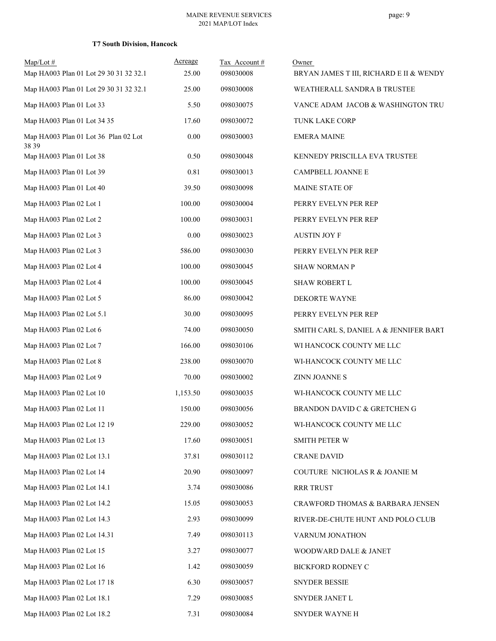| Map/Lot#<br>Map HA003 Plan 01 Lot 29 30 31 32 32.1 | Acreage<br>25.00 | Tax Account#<br>098030008 | Owner<br>BRYAN JAMES T III, RICHARD E II & WENDY |
|----------------------------------------------------|------------------|---------------------------|--------------------------------------------------|
| Map HA003 Plan 01 Lot 29 30 31 32 32.1             | 25.00            | 098030008                 | WEATHERALL SANDRA B TRUSTEE                      |
| Map HA003 Plan 01 Lot 33                           | 5.50             | 098030075                 | VANCE ADAM JACOB & WASHINGTON TRU                |
| Map HA003 Plan 01 Lot 34 35                        | 17.60            | 098030072                 | <b>TUNK LAKE CORP</b>                            |
| Map HA003 Plan 01 Lot 36 Plan 02 Lot<br>38 39      | 0.00             | 098030003                 | <b>EMERA MAINE</b>                               |
| Map HA003 Plan 01 Lot 38                           | 0.50             | 098030048                 | KENNEDY PRISCILLA EVA TRUSTEE                    |
| Map HA003 Plan 01 Lot 39                           | 0.81             | 098030013                 | CAMPBELL JOANNE E                                |
| Map HA003 Plan 01 Lot 40                           | 39.50            | 098030098                 | MAINE STATE OF                                   |
| Map HA003 Plan 02 Lot 1                            | 100.00           | 098030004                 | PERRY EVELYN PER REP                             |
| Map HA003 Plan 02 Lot 2                            | 100.00           | 098030031                 | PERRY EVELYN PER REP                             |
| Map HA003 Plan 02 Lot 3                            | 0.00             | 098030023                 | <b>AUSTIN JOY F</b>                              |
| Map HA003 Plan 02 Lot 3                            | 586.00           | 098030030                 | PERRY EVELYN PER REP                             |
| Map HA003 Plan 02 Lot 4                            | 100.00           | 098030045                 | <b>SHAW NORMAN P</b>                             |
| Map HA003 Plan 02 Lot 4                            | 100.00           | 098030045                 | <b>SHAW ROBERT L</b>                             |
| Map HA003 Plan 02 Lot 5                            | 86.00            | 098030042                 | DEKORTE WAYNE                                    |
| Map HA003 Plan 02 Lot 5.1                          | 30.00            | 098030095                 | PERRY EVELYN PER REP                             |
| Map HA003 Plan 02 Lot 6                            | 74.00            | 098030050                 | SMITH CARL S, DANIEL A & JENNIFER BART           |
| Map HA003 Plan 02 Lot 7                            | 166.00           | 098030106                 | WI HANCOCK COUNTY ME LLC                         |
| Map HA003 Plan 02 Lot 8                            | 238.00           | 098030070                 | WI-HANCOCK COUNTY ME LLC                         |
| Map HA003 Plan 02 Lot 9                            | 70.00            | 098030002                 | <b>ZINN JOANNES</b>                              |
| Map HA003 Plan 02 Lot 10                           | 1,153.50         | 098030035                 | WI-HANCOCK COUNTY ME LLC                         |
| Map HA003 Plan 02 Lot 11                           | 150.00           | 098030056                 | BRANDON DAVID C & GRETCHEN G                     |
| Map HA003 Plan 02 Lot 12 19                        | 229.00           | 098030052                 | WI-HANCOCK COUNTY ME LLC                         |
| Map HA003 Plan 02 Lot 13                           | 17.60            | 098030051                 | SMITH PETER W                                    |
| Map HA003 Plan 02 Lot 13.1                         | 37.81            | 098030112                 | <b>CRANE DAVID</b>                               |
| Map HA003 Plan 02 Lot 14                           | 20.90            | 098030097                 | COUTURE NICHOLAS R & JOANIE M                    |
| Map HA003 Plan 02 Lot 14.1                         | 3.74             | 098030086                 | RRR TRUST                                        |
| Map HA003 Plan 02 Lot 14.2                         | 15.05            | 098030053                 | CRAWFORD THOMAS & BARBARA JENSEN                 |
| Map HA003 Plan 02 Lot 14.3                         | 2.93             | 098030099                 | RIVER-DE-CHUTE HUNT AND POLO CLUB                |
| Map HA003 Plan 02 Lot 14.31                        | 7.49             | 098030113                 | VARNUM JONATHON                                  |
| Map HA003 Plan 02 Lot 15                           | 3.27             | 098030077                 | WOODWARD DALE & JANET                            |
| Map HA003 Plan 02 Lot 16                           | 1.42             | 098030059                 | BICKFORD RODNEY C                                |
| Map HA003 Plan 02 Lot 17 18                        | 6.30             | 098030057                 | SNYDER BESSIE                                    |
| Map HA003 Plan 02 Lot 18.1                         | 7.29             | 098030085                 | SNYDER JANET L                                   |
| Map HA003 Plan 02 Lot 18.2                         | 7.31             | 098030084                 | SNYDER WAYNE H                                   |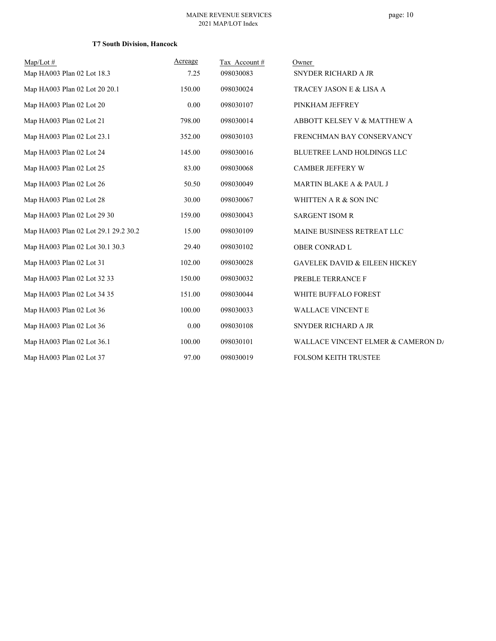| $Map/Lot \#$                         | Acreage  | Tax Account# | Owner                                    |
|--------------------------------------|----------|--------------|------------------------------------------|
| Map HA003 Plan 02 Lot 18.3           | 7.25     | 098030083    | SNYDER RICHARD A JR                      |
| Map HA003 Plan 02 Lot 20 20.1        | 150.00   | 098030024    | TRACEY JASON E & LISA A                  |
| Map HA003 Plan 02 Lot 20             | 0.00     | 098030107    | PINKHAM JEFFREY                          |
| Map HA003 Plan 02 Lot 21             | 798.00   | 098030014    | ABBOTT KELSEY V & MATTHEW A              |
| Map HA003 Plan 02 Lot 23.1           | 352.00   | 098030103    | FRENCHMAN BAY CONSERVANCY                |
| Map HA003 Plan 02 Lot 24             | 145.00   | 098030016    | BLUETREE LAND HOLDINGS LLC               |
| Map HA003 Plan 02 Lot 25             | 83.00    | 098030068    | <b>CAMBER JEFFERY W</b>                  |
| Map HA003 Plan 02 Lot 26             | 50.50    | 098030049    | MARTIN BLAKE A & PAUL J                  |
| Map HA003 Plan 02 Lot 28             | 30.00    | 098030067    | WHITTEN A R & SON INC                    |
| Map HA003 Plan 02 Lot 29 30          | 159.00   | 098030043    | <b>SARGENT ISOM R</b>                    |
| Map HA003 Plan 02 Lot 29.1 29.2 30.2 | 15.00    | 098030109    | MAINE BUSINESS RETREAT LLC               |
| Map HA003 Plan 02 Lot 30.1 30.3      | 29.40    | 098030102    | OBER CONRAD L                            |
| Map HA003 Plan 02 Lot 31             | 102.00   | 098030028    | <b>GAVELEK DAVID &amp; EILEEN HICKEY</b> |
| Map HA003 Plan 02 Lot 32 33          | 150.00   | 098030032    | PREBLE TERRANCE F                        |
| Map HA003 Plan 02 Lot 34 35          | 151.00   | 098030044    | WHITE BUFFALO FOREST                     |
| Map HA003 Plan 02 Lot 36             | 100.00   | 098030033    | <b>WALLACE VINCENT E</b>                 |
| Map HA003 Plan 02 Lot 36             | $0.00\,$ | 098030108    | SNYDER RICHARD A JR                      |
| Map HA003 Plan 02 Lot 36.1           | 100.00   | 098030101    | WALLACE VINCENT ELMER & CAMERON D/       |
| Map HA003 Plan 02 Lot 37             | 97.00    | 098030019    | <b>FOLSOM KEITH TRUSTEE</b>              |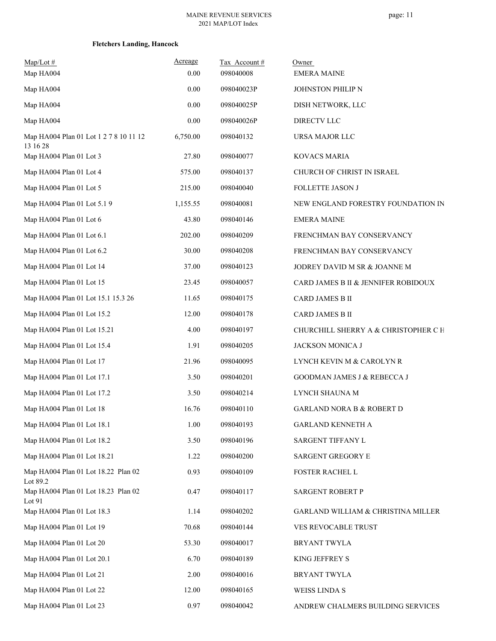| $Map/Lot$ #<br>Map HA004                        | Acreage<br>0.00 | Tax Account#<br>098040008 | Owner<br><b>EMERA MAINE</b>          |
|-------------------------------------------------|-----------------|---------------------------|--------------------------------------|
| Map HA004                                       | 0.00            | 098040023P                | JOHNSTON PHILIP N                    |
| Map HA004                                       | 0.00            | 098040025P                | DISH NETWORK, LLC                    |
| Map HA004                                       | 0.00            | 098040026P                | DIRECTV LLC                          |
| Map HA004 Plan 01 Lot 1 2 7 8 10 11 12          | 6,750.00        | 098040132                 | URSA MAJOR LLC                       |
| 13 16 28                                        |                 |                           |                                      |
| Map HA004 Plan 01 Lot 3                         | 27.80           | 098040077                 | <b>KOVACS MARIA</b>                  |
| Map HA004 Plan 01 Lot 4                         | 575.00          | 098040137                 | CHURCH OF CHRIST IN ISRAEL           |
| Map HA004 Plan 01 Lot 5                         | 215.00          | 098040040                 | FOLLETTE JASON J                     |
| Map HA004 Plan 01 Lot 5.1 9                     | 1,155.55        | 098040081                 | NEW ENGLAND FORESTRY FOUNDATION IN   |
| Map HA004 Plan 01 Lot 6                         | 43.80           | 098040146                 | <b>EMERA MAINE</b>                   |
| Map HA004 Plan 01 Lot 6.1                       | 202.00          | 098040209                 | FRENCHMAN BAY CONSERVANCY            |
| Map HA004 Plan 01 Lot 6.2                       | 30.00           | 098040208                 | FRENCHMAN BAY CONSERVANCY            |
| Map HA004 Plan 01 Lot 14                        | 37.00           | 098040123                 | JODREY DAVID M SR & JOANNE M         |
| Map HA004 Plan 01 Lot 15                        | 23.45           | 098040057                 | CARD JAMES B II & JENNIFER ROBIDOUX  |
| Map HA004 Plan 01 Lot 15.1 15.3 26              | 11.65           | 098040175                 | CARD JAMES B II                      |
| Map HA004 Plan 01 Lot 15.2                      | 12.00           | 098040178                 | CARD JAMES B II                      |
| Map HA004 Plan 01 Lot 15.21                     | 4.00            | 098040197                 | CHURCHILL SHERRY A & CHRISTOPHER C H |
| Map HA004 Plan 01 Lot 15.4                      | 1.91            | 098040205                 | JACKSON MONICA J                     |
| Map HA004 Plan 01 Lot 17                        | 21.96           | 098040095                 | LYNCH KEVIN M & CAROLYN R            |
| Map HA004 Plan 01 Lot 17.1                      | 3.50            | 098040201                 | GOODMAN JAMES J & REBECCA J          |
| Map HA004 Plan 01 Lot 17.2                      | 3.50            | 098040214                 | LYNCH SHAUNA M                       |
| Map HA004 Plan 01 Lot 18                        | 16.76           | 098040110                 | <b>GARLAND NORA B &amp; ROBERT D</b> |
| Map HA004 Plan 01 Lot 18.1                      | 1.00            | 098040193                 | <b>GARLAND KENNETH A</b>             |
| Map HA004 Plan 01 Lot 18.2                      | 3.50            | 098040196                 | SARGENT TIFFANY L                    |
| Map HA004 Plan 01 Lot 18.21                     | 1.22            | 098040200                 | SARGENT GREGORY E                    |
| Map HA004 Plan 01 Lot 18.22 Plan 02<br>Lot 89.2 | 0.93            | 098040109                 | FOSTER RACHEL L                      |
| Map HA004 Plan 01 Lot 18.23 Plan 02<br>Lot $91$ | 0.47            | 098040117                 | <b>SARGENT ROBERT P</b>              |
| Map HA004 Plan 01 Lot 18.3                      | 1.14            | 098040202                 | GARLAND WILLIAM & CHRISTINA MILLER   |
| Map HA004 Plan 01 Lot 19                        | 70.68           | 098040144                 | VES REVOCABLE TRUST                  |
| Map HA004 Plan 01 Lot 20                        | 53.30           | 098040017                 | BRYANT TWYLA                         |
| Map HA004 Plan 01 Lot 20.1                      | 6.70            | 098040189                 | KING JEFFREY S                       |
| Map HA004 Plan 01 Lot 21                        | 2.00            | 098040016                 | BRYANT TWYLA                         |
| Map HA004 Plan 01 Lot 22                        | 12.00           | 098040165                 | WEISS LINDA S                        |
| Map HA004 Plan 01 Lot 23                        | 0.97            | 098040042                 | ANDREW CHALMERS BUILDING SERVICES    |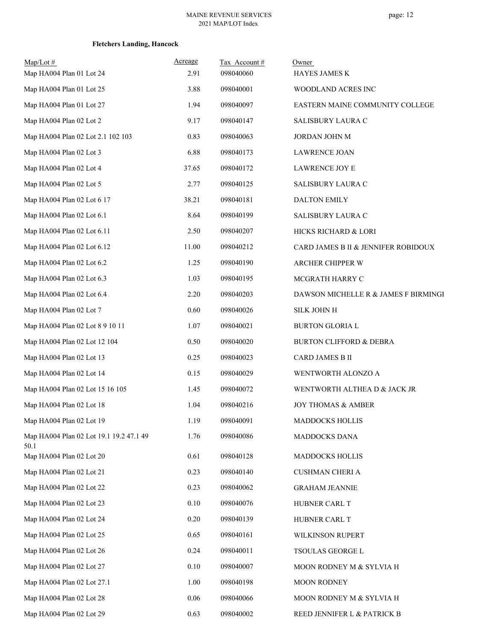| $Map/Lot$ #<br>Map HA004 Plan 01 Lot 24         | Acreage<br>2.91 | Tax Account#<br>098040060 | Owner<br><b>HAYES JAMES K</b>        |
|-------------------------------------------------|-----------------|---------------------------|--------------------------------------|
| Map HA004 Plan 01 Lot 25                        | 3.88            | 098040001                 | WOODLAND ACRES INC                   |
| Map HA004 Plan 01 Lot 27                        | 1.94            | 098040097                 | EASTERN MAINE COMMUNITY COLLEGE      |
| Map HA004 Plan 02 Lot 2                         | 9.17            | 098040147                 | SALISBURY LAURA C                    |
| Map HA004 Plan 02 Lot 2.1 102 103               | 0.83            | 098040063                 | JORDAN JOHN M                        |
| Map HA004 Plan 02 Lot 3                         | 6.88            | 098040173                 | <b>LAWRENCE JOAN</b>                 |
| Map HA004 Plan 02 Lot 4                         | 37.65           | 098040172                 | LAWRENCE JOY E                       |
| Map HA004 Plan 02 Lot 5                         | 2.77            | 098040125                 | SALISBURY LAURA C                    |
| Map HA004 Plan 02 Lot 6 17                      | 38.21           | 098040181                 | <b>DALTON EMILY</b>                  |
| Map HA004 Plan 02 Lot 6.1                       | 8.64            | 098040199                 | SALISBURY LAURA C                    |
| Map HA004 Plan 02 Lot 6.11                      | 2.50            | 098040207                 | HICKS RICHARD & LORI                 |
| Map HA004 Plan 02 Lot 6.12                      | 11.00           | 098040212                 | CARD JAMES B II & JENNIFER ROBIDOUX  |
| Map HA004 Plan 02 Lot 6.2                       | 1.25            | 098040190                 | ARCHER CHIPPER W                     |
| Map HA004 Plan 02 Lot 6.3                       | 1.03            | 098040195                 | MCGRATH HARRY C                      |
| Map HA004 Plan 02 Lot 6.4                       | 2.20            | 098040203                 | DAWSON MICHELLE R & JAMES F BIRMINGI |
| Map HA004 Plan 02 Lot 7                         | 0.60            | 098040026                 | <b>SILK JOHN H</b>                   |
| Map HA004 Plan 02 Lot 8 9 10 11                 | 1.07            | 098040021                 | <b>BURTON GLORIA L</b>               |
| Map HA004 Plan 02 Lot 12 104                    | 0.50            | 098040020                 | <b>BURTON CLIFFORD &amp; DEBRA</b>   |
| Map HA004 Plan 02 Lot 13                        | 0.25            | 098040023                 | CARD JAMES B II                      |
| Map HA004 Plan 02 Lot 14                        | 0.15            | 098040029                 | WENTWORTH ALONZO A                   |
| Map HA004 Plan 02 Lot 15 16 105                 | 1.45            | 098040072                 | WENTWORTH ALTHEA D & JACK JR         |
| Map HA004 Plan 02 Lot 18                        | 1.04            | 098040216                 | <b>JOY THOMAS &amp; AMBER</b>        |
| Map HA004 Plan 02 Lot 19                        | 1.19            | 098040091                 | MADDOCKS HOLLIS                      |
| Map HA004 Plan 02 Lot 19.1 19.2 47.1 49<br>50.1 | 1.76            | 098040086                 | MADDOCKS DANA                        |
| Map HA004 Plan 02 Lot 20                        | 0.61            | 098040128                 | MADDOCKS HOLLIS                      |
| Map HA004 Plan 02 Lot 21                        | 0.23            | 098040140                 | <b>CUSHMAN CHERI A</b>               |
| Map HA004 Plan 02 Lot 22                        | 0.23            | 098040062                 | <b>GRAHAM JEANNIE</b>                |
| Map HA004 Plan 02 Lot 23                        | 0.10            | 098040076                 | HUBNER CARL T                        |
| Map HA004 Plan 02 Lot 24                        | 0.20            | 098040139                 | HUBNER CARL T                        |
| Map HA004 Plan 02 Lot 25                        | 0.65            | 098040161                 | WILKINSON RUPERT                     |
| Map HA004 Plan 02 Lot 26                        | 0.24            | 098040011                 | TSOULAS GEORGE L                     |
| Map HA004 Plan 02 Lot 27                        | 0.10            | 098040007                 | MOON RODNEY M & SYLVIA H             |
| Map HA004 Plan 02 Lot 27.1                      | 1.00            | 098040198                 | <b>MOON RODNEY</b>                   |
| Map HA004 Plan 02 Lot 28                        | 0.06            | 098040066                 | MOON RODNEY M & SYLVIA H             |
| Map HA004 Plan 02 Lot 29                        | 0.63            | 098040002                 | REED JENNIFER L & PATRICK B          |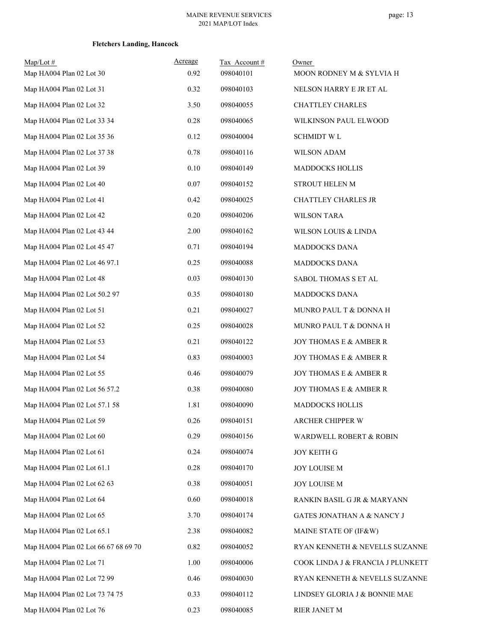| $Map/Lot \#$                         | Acreage  | Tax Account# | Owner                              |
|--------------------------------------|----------|--------------|------------------------------------|
| Map HA004 Plan 02 Lot 30             | 0.92     | 098040101    | MOON RODNEY M & SYLVIA H           |
| Map HA004 Plan 02 Lot 31             | 0.32     | 098040103    | NELSON HARRY E JR ET AL            |
| Map HA004 Plan 02 Lot 32             | 3.50     | 098040055    | <b>CHATTLEY CHARLES</b>            |
| Map HA004 Plan 02 Lot 33 34          | 0.28     | 098040065    | WILKINSON PAUL ELWOOD              |
| Map HA004 Plan 02 Lot 35 36          | 0.12     | 098040004    | <b>SCHMIDT WL</b>                  |
| Map HA004 Plan 02 Lot 37 38          | 0.78     | 098040116    | <b>WILSON ADAM</b>                 |
| Map HA004 Plan 02 Lot 39             | $0.10\,$ | 098040149    | MADDOCKS HOLLIS                    |
| Map HA004 Plan 02 Lot 40             | 0.07     | 098040152    | STROUT HELEN M                     |
| Map HA004 Plan 02 Lot 41             | 0.42     | 098040025    | CHATTLEY CHARLES JR                |
| Map HA004 Plan 02 Lot 42             | 0.20     | 098040206    | <b>WILSON TARA</b>                 |
| Map HA004 Plan 02 Lot 43 44          | 2.00     | 098040162    | WILSON LOUIS & LINDA               |
| Map HA004 Plan 02 Lot 45 47          | 0.71     | 098040194    | MADDOCKS DANA                      |
| Map HA004 Plan 02 Lot 46 97.1        | 0.25     | 098040088    | <b>MADDOCKS DANA</b>               |
| Map HA004 Plan 02 Lot 48             | 0.03     | 098040130    | SABOL THOMAS S ET AL               |
| Map HA004 Plan 02 Lot 50.2 97        | 0.35     | 098040180    | MADDOCKS DANA                      |
| Map HA004 Plan 02 Lot 51             | 0.21     | 098040027    | MUNRO PAUL T & DONNA H             |
| Map HA004 Plan 02 Lot 52             | 0.25     | 098040028    | MUNRO PAUL T & DONNA H             |
| Map HA004 Plan 02 Lot 53             | 0.21     | 098040122    | JOY THOMAS E & AMBER R             |
| Map HA004 Plan 02 Lot 54             | 0.83     | 098040003    | JOY THOMAS E & AMBER R             |
| Map HA004 Plan 02 Lot 55             | 0.46     | 098040079    | JOY THOMAS E & AMBER R             |
| Map HA004 Plan 02 Lot 56 57.2        | 0.38     | 098040080    | JOY THOMAS E & AMBER R             |
| Map HA004 Plan 02 Lot 57.1 58        | 1.81     | 098040090    | MADDOCKS HOLLIS                    |
| Map HA004 Plan 02 Lot 59             | 0.26     | 098040151    | ARCHER CHIPPER W                   |
| Map HA004 Plan 02 Lot 60             | 0.29     | 098040156    | <b>WARDWELL ROBERT &amp; ROBIN</b> |
| Map HA004 Plan 02 Lot 61             | 0.24     | 098040074    | <b>JOY KEITH G</b>                 |
| Map HA004 Plan 02 Lot 61.1           | 0.28     | 098040170    | JOY LOUISE M                       |
| Map HA004 Plan 02 Lot 62 63          | 0.38     | 098040051    | JOY LOUISE M                       |
| Map HA004 Plan 02 Lot 64             | 0.60     | 098040018    | RANKIN BASIL G JR & MARYANN        |
| Map HA004 Plan 02 Lot 65             | 3.70     | 098040174    | GATES JONATHAN A & NANCY J         |
| Map HA004 Plan 02 Lot 65.1           | 2.38     | 098040082    | MAINE STATE OF (IF&W)              |
| Map HA004 Plan 02 Lot 66 67 68 69 70 | 0.82     | 098040052    | RYAN KENNETH & NEVELLS SUZANNE     |
| Map HA004 Plan 02 Lot 71             | 1.00     | 098040006    | COOK LINDA J & FRANCIA J PLUNKETT  |
| Map HA004 Plan 02 Lot 72 99          | 0.46     | 098040030    | RYAN KENNETH & NEVELLS SUZANNE     |
| Map HA004 Plan 02 Lot 73 74 75       | 0.33     | 098040112    | LINDSEY GLORIA J & BONNIE MAE      |
| Map HA004 Plan 02 Lot 76             | 0.23     | 098040085    | RIER JANET M                       |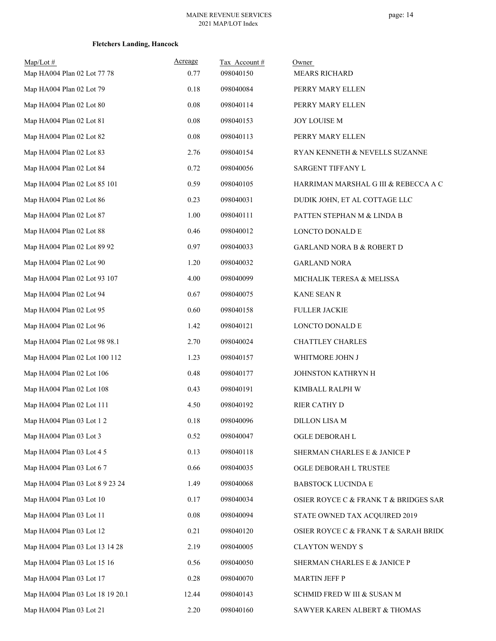| $Map/Lot$ #                      | Acreage  | Tax Account# | Owner                                 |
|----------------------------------|----------|--------------|---------------------------------------|
| Map HA004 Plan 02 Lot 77 78      | 0.77     | 098040150    | <b>MEARS RICHARD</b>                  |
| Map HA004 Plan 02 Lot 79         | 0.18     | 098040084    | PERRY MARY ELLEN                      |
| Map HA004 Plan 02 Lot 80         | $0.08\,$ | 098040114    | PERRY MARY ELLEN                      |
| Map HA004 Plan 02 Lot 81         | 0.08     | 098040153    | JOY LOUISE M                          |
| Map HA004 Plan 02 Lot 82         | 0.08     | 098040113    | PERRY MARY ELLEN                      |
| Map HA004 Plan 02 Lot 83         | 2.76     | 098040154    | RYAN KENNETH & NEVELLS SUZANNE        |
| Map HA004 Plan 02 Lot 84         | 0.72     | 098040056    | SARGENT TIFFANY L                     |
| Map HA004 Plan 02 Lot 85 101     | 0.59     | 098040105    | HARRIMAN MARSHAL G III & REBECCA A C  |
| Map HA004 Plan 02 Lot 86         | 0.23     | 098040031    | DUDIK JOHN, ET AL COTTAGE LLC         |
| Map HA004 Plan 02 Lot 87         | 1.00     | 098040111    | PATTEN STEPHAN M & LINDA B            |
| Map HA004 Plan 02 Lot 88         | 0.46     | 098040012    | LONCTO DONALD E                       |
| Map HA004 Plan 02 Lot 89 92      | 0.97     | 098040033    | <b>GARLAND NORA B &amp; ROBERT D</b>  |
| Map HA004 Plan 02 Lot 90         | 1.20     | 098040032    | <b>GARLAND NORA</b>                   |
| Map HA004 Plan 02 Lot 93 107     | 4.00     | 098040099    | MICHALIK TERESA & MELISSA             |
| Map HA004 Plan 02 Lot 94         | 0.67     | 098040075    | KANE SEAN R                           |
| Map HA004 Plan 02 Lot 95         | 0.60     | 098040158    | <b>FULLER JACKIE</b>                  |
| Map HA004 Plan 02 Lot 96         | 1.42     | 098040121    | LONCTO DONALD E                       |
| Map HA004 Plan 02 Lot 98 98.1    | 2.70     | 098040024    | <b>CHATTLEY CHARLES</b>               |
| Map HA004 Plan 02 Lot 100 112    | 1.23     | 098040157    | WHITMORE JOHN J                       |
| Map HA004 Plan 02 Lot 106        | 0.48     | 098040177    | JOHNSTON KATHRYN H                    |
| Map HA004 Plan 02 Lot 108        | 0.43     | 098040191    | KIMBALL RALPH W                       |
| Map HA004 Plan 02 Lot 111        | 4.50     | 098040192    | RIER CATHY D                          |
| Map HA004 Plan 03 Lot 1 2        | 0.18     | 098040096    | DILLON LISA M                         |
| Map HA004 Plan 03 Lot 3          | 0.52     | 098040047    | OGLE DEBORAH L                        |
| Map HA004 Plan 03 Lot 4 5        | 0.13     | 098040118    | SHERMAN CHARLES E & JANICE P          |
| Map HA004 Plan 03 Lot 6 7        | 0.66     | 098040035    | OGLE DEBORAH L TRUSTEE                |
| Map HA004 Plan 03 Lot 8 9 23 24  | 1.49     | 098040068    | BABSTOCK LUCINDA E                    |
| Map HA004 Plan 03 Lot 10         | 0.17     | 098040034    | OSIER ROYCE C & FRANK T & BRIDGES SAR |
| Map HA004 Plan 03 Lot 11         | 0.08     | 098040094    | STATE OWNED TAX ACQUIRED 2019         |
| Map HA004 Plan 03 Lot 12         | 0.21     | 098040120    | OSIER ROYCE C & FRANK T & SARAH BRIDC |
| Map HA004 Plan 03 Lot 13 14 28   | 2.19     | 098040005    | <b>CLAYTON WENDY S</b>                |
| Map HA004 Plan 03 Lot 15 16      | 0.56     | 098040050    | SHERMAN CHARLES E & JANICE P          |
| Map HA004 Plan 03 Lot 17         | 0.28     | 098040070    | <b>MARTIN JEFF P</b>                  |
| Map HA004 Plan 03 Lot 18 19 20.1 | 12.44    | 098040143    | SCHMID FRED W III & SUSAN M           |
| Map HA004 Plan 03 Lot 21         | 2.20     | 098040160    | SAWYER KAREN ALBERT & THOMAS          |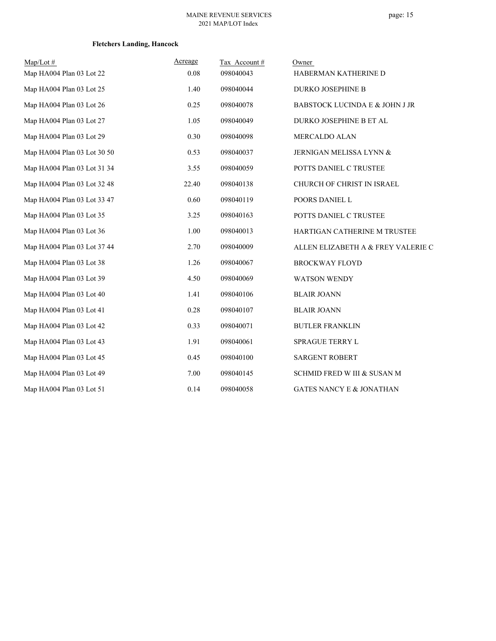| $Map/Lot \#$                | Acreage | Tax Account# | Owner                               |
|-----------------------------|---------|--------------|-------------------------------------|
| Map HA004 Plan 03 Lot 22    | 0.08    | 098040043    | HABERMAN KATHERINE D                |
| Map HA004 Plan 03 Lot 25    | 1.40    | 098040044    | DURKO JOSEPHINE B                   |
| Map HA004 Plan 03 Lot 26    | 0.25    | 098040078    | BABSTOCK LUCINDA E & JOHN J JR      |
| Map HA004 Plan 03 Lot 27    | 1.05    | 098040049    | DURKO JOSEPHINE B ET AL             |
| Map HA004 Plan 03 Lot 29    | 0.30    | 098040098    | MERCALDO ALAN                       |
| Map HA004 Plan 03 Lot 30 50 | 0.53    | 098040037    | JERNIGAN MELISSA LYNN &             |
| Map HA004 Plan 03 Lot 31 34 | 3.55    | 098040059    | POTTS DANIEL C TRUSTEE              |
| Map HA004 Plan 03 Lot 32 48 | 22.40   | 098040138    | CHURCH OF CHRIST IN ISRAEL          |
| Map HA004 Plan 03 Lot 33 47 | 0.60    | 098040119    | POORS DANIEL L                      |
| Map HA004 Plan 03 Lot 35    | 3.25    | 098040163    | POTTS DANIEL C TRUSTEE              |
| Map HA004 Plan 03 Lot 36    | 1.00    | 098040013    | HARTIGAN CATHERINE M TRUSTEE        |
| Map HA004 Plan 03 Lot 37 44 | 2.70    | 098040009    | ALLEN ELIZABETH A & FREY VALERIE C  |
| Map HA004 Plan 03 Lot 38    | 1.26    | 098040067    | <b>BROCKWAY FLOYD</b>               |
| Map HA004 Plan 03 Lot 39    | 4.50    | 098040069    | <b>WATSON WENDY</b>                 |
| Map HA004 Plan 03 Lot 40    | 1.41    | 098040106    | <b>BLAIR JOANN</b>                  |
| Map HA004 Plan 03 Lot 41    | 0.28    | 098040107    | <b>BLAIR JOANN</b>                  |
| Map HA004 Plan 03 Lot 42    | 0.33    | 098040071    | <b>BUTLER FRANKLIN</b>              |
| Map HA004 Plan 03 Lot 43    | 1.91    | 098040061    | SPRAGUE TERRY L                     |
| Map HA004 Plan 03 Lot 45    | 0.45    | 098040100    | <b>SARGENT ROBERT</b>               |
| Map HA004 Plan 03 Lot 49    | 7.00    | 098040145    | SCHMID FRED W III & SUSAN M         |
| Map HA004 Plan 03 Lot 51    | 0.14    | 098040058    | <b>GATES NANCY E &amp; JONATHAN</b> |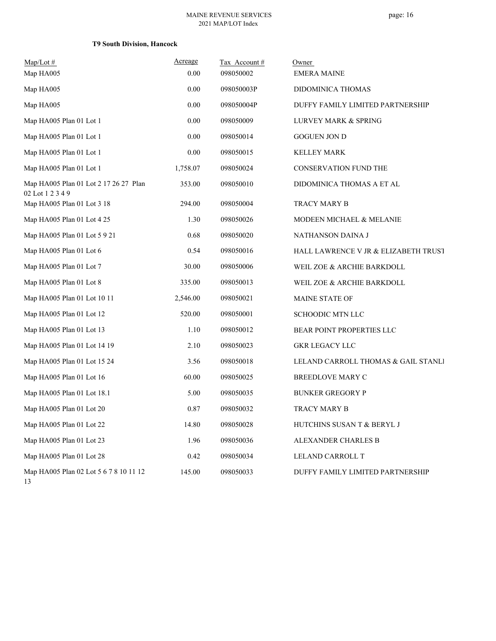## page: 16

| $Map/Lot$ #                                               | Acreage  | Tax Account# | Owner                                |
|-----------------------------------------------------------|----------|--------------|--------------------------------------|
| Map HA005                                                 | 0.00     | 098050002    | <b>EMERA MAINE</b>                   |
| Map HA005                                                 | 0.00     | 098050003P   | DIDOMINICA THOMAS                    |
| Map HA005                                                 | 0.00     | 098050004P   | DUFFY FAMILY LIMITED PARTNERSHIP     |
| Map HA005 Plan 01 Lot 1                                   | 0.00     | 098050009    | LURVEY MARK & SPRING                 |
| Map HA005 Plan 01 Lot 1                                   | 0.00     | 098050014    | <b>GOGUEN JON D</b>                  |
| Map HA005 Plan 01 Lot 1                                   | 0.00     | 098050015    | <b>KELLEY MARK</b>                   |
| Map HA005 Plan 01 Lot 1                                   | 1,758.07 | 098050024    | <b>CONSERVATION FUND THE</b>         |
| Map HA005 Plan 01 Lot 2 17 26 27 Plan<br>02 Lot 1 2 3 4 9 | 353.00   | 098050010    | DIDOMINICA THOMAS A ET AL            |
| Map HA005 Plan 01 Lot 3 18                                | 294.00   | 098050004    | TRACY MARY B                         |
| Map HA005 Plan 01 Lot 4 25                                | 1.30     | 098050026    | MODEEN MICHAEL & MELANIE             |
| Map HA005 Plan 01 Lot 5 9 21                              | 0.68     | 098050020    | NATHANSON DAINA J                    |
| Map HA005 Plan 01 Lot 6                                   | 0.54     | 098050016    | HALL LAWRENCE V JR & ELIZABETH TRUST |
| Map HA005 Plan 01 Lot 7                                   | 30.00    | 098050006    | WEIL ZOE & ARCHIE BARKDOLL           |
| Map HA005 Plan 01 Lot 8                                   | 335.00   | 098050013    | WEIL ZOE & ARCHIE BARKDOLL           |
| Map HA005 Plan 01 Lot 10 11                               | 2,546.00 | 098050021    | MAINE STATE OF                       |
| Map HA005 Plan 01 Lot 12                                  | 520.00   | 098050001    | SCHOODIC MTN LLC                     |
| Map HA005 Plan 01 Lot 13                                  | 1.10     | 098050012    | BEAR POINT PROPERTIES LLC            |
| Map HA005 Plan 01 Lot 14 19                               | 2.10     | 098050023    | <b>GKR LEGACY LLC</b>                |
| Map HA005 Plan 01 Lot 15 24                               | 3.56     | 098050018    | LELAND CARROLL THOMAS & GAIL STANLI  |
| Map HA005 Plan 01 Lot 16                                  | 60.00    | 098050025    | BREEDLOVE MARY C                     |
| Map HA005 Plan 01 Lot 18.1                                | 5.00     | 098050035    | <b>BUNKER GREGORY P</b>              |
| Map HA005 Plan 01 Lot 20                                  | 0.87     | 098050032    | TRACY MARY B                         |
| Map HA005 Plan 01 Lot 22                                  | 14.80    | 098050028    | HUTCHINS SUSAN T & BERYL J           |
| Map HA005 Plan 01 Lot 23                                  | 1.96     | 098050036    | ALEXANDER CHARLES B                  |
| Map HA005 Plan 01 Lot 28                                  | 0.42     | 098050034    | LELAND CARROLL T                     |
| Map HA005 Plan 02 Lot 5 6 7 8 10 11 12<br>13              | 145.00   | 098050033    | DUFFY FAMILY LIMITED PARTNERSHIP     |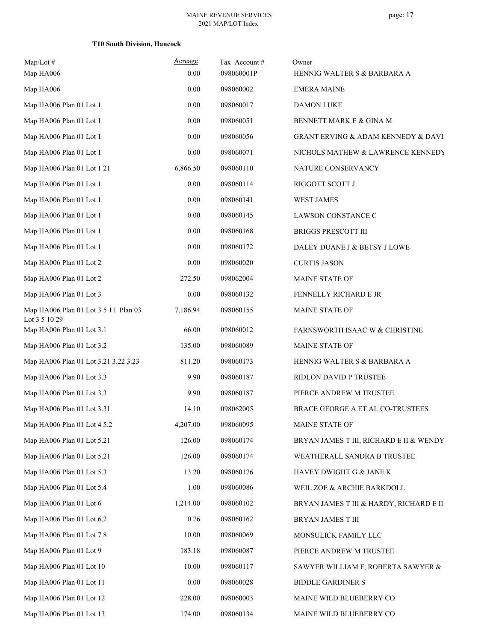| $Map/Lot$ #                                           | Acreage  | Tax Account# | Owner                                     |
|-------------------------------------------------------|----------|--------------|-------------------------------------------|
| Map HA006                                             | 0.00     | 098060001P   | HENNIG WALTER S & BARBARA A               |
| Map HA006                                             | 0.00     | 098060002    | <b>EMERA MAINE</b>                        |
| Map HA006 Plan 01 Lot 1                               | 0.00     | 098060017    | <b>DAMON LUKE</b>                         |
| Map HA006 Plan 01 Lot 1                               | 0.00     | 098060051    | BENNETT MARK E & GINA M                   |
| Map HA006 Plan 01 Lot 1                               | 0.00     | 098060056    | GRANT ERVING & ADAM KENNEDY & DAVI        |
| Map HA006 Plan 01 Lot 1                               | 0.00     | 098060071    | NICHOLS MATHEW & LAWRENCE KENNEDY         |
| Map HA006 Plan 01 Lot 1 21                            | 6,866.50 | 098060110    | NATURE CONSERVANCY                        |
| Map HA006 Plan 01 Lot 1                               | 0.00     | 098060114    | RIGGOTT SCOTT J                           |
| Map HA006 Plan 01 Lot 1                               | 0.00     | 098060141    | <b>WEST JAMES</b>                         |
| Map HA006 Plan 01 Lot 1                               | 0.00     | 098060145    | LAWSON CONSTANCE C                        |
| Map HA006 Plan 01 Lot 1                               | 0.00     | 098060168    | <b>BRIGGS PRESCOTT III</b>                |
| Map HA006 Plan 01 Lot 1                               | 0.00     | 098060172    | DALEY DUANE J & BETSY J LOWE              |
| Map HA006 Plan 01 Lot 2                               | 0.00     | 098060020    | <b>CURTIS JASON</b>                       |
| Map HA006 Plan 01 Lot 2                               | 272.50   | 098062004    | MAINE STATE OF                            |
| Map HA006 Plan 01 Lot 3                               | 0.00     | 098060132    | FENNELLY RICHARD E JR                     |
| Map HA006 Plan 01 Lot 3 5 11 Plan 03<br>Lot 3 5 10 29 | 7,186.94 | 098060155    | MAINE STATE OF                            |
| Map HA006 Plan 01 Lot 3.1                             | 66.00    | 098060012    | <b>FARNSWORTH ISAAC W &amp; CHRISTINE</b> |
| Map HA006 Plan 01 Lot 3.2                             | 135.00   | 098060089    | MAINE STATE OF                            |
| Map HA006 Plan 01 Lot 3.21 3.22 3.23                  | 811.20   | 098060173    | HENNIG WALTER S & BARBARA A               |
| Map HA006 Plan 01 Lot 3.3                             | 9.90     | 098060187    | RIDLON DAVID P TRUSTEE                    |
| Map HA006 Plan 01 Lot 3.3                             | 9.90     | 098060187    | PIERCE ANDREW M TRUSTEE                   |
| Map HA006 Plan 01 Lot 3.31                            | 14.10    | 098062005    | BRACE GEORGE A ET AL CO-TRUSTEES          |
| Map HA006 Plan 01 Lot 4 5.2                           | 4,207.00 | 098060095    | MAINE STATE OF                            |
| Map HA006 Plan 01 Lot 5.21                            | 126.00   | 098060174    | BRYAN JAMES T III, RICHARD E II & WENDY   |
| Map HA006 Plan 01 Lot 5.21                            | 126.00   | 098060174    | WEATHERALL SANDRA B TRUSTEE               |
| Map HA006 Plan 01 Lot 5.3                             | 13.20    | 098060176    | HAVEY DWIGHT G & JANE K                   |
| Map HA006 Plan 01 Lot 5.4                             | 1.00     | 098060086    | WEIL ZOE & ARCHIE BARKDOLL                |
| Map HA006 Plan 01 Lot 6                               | 1,214.00 | 098060102    | BRYAN JAMES T III & HARDY, RICHARD E II   |
| Map HA006 Plan 01 Lot 6.2                             | 0.76     | 098060162    | BRYAN JAMES T III                         |
| Map HA006 Plan 01 Lot 7 8                             | 10.00    | 098060069    | MONSULICK FAMILY LLC                      |
| Map HA006 Plan 01 Lot 9                               | 183.18   | 098060087    | PIERCE ANDREW M TRUSTEE                   |
| Map HA006 Plan 01 Lot 10                              | 10.00    | 098060117    | SAWYER WILLIAM F, ROBERTA SAWYER &        |
| Map HA006 Plan 01 Lot 11                              | 0.00     | 098060028    | <b>BIDDLE GARDINER S</b>                  |
| Map HA006 Plan 01 Lot 12                              | 228.00   | 098060003    | MAINE WILD BLUEBERRY CO                   |
| Map HA006 Plan 01 Lot 13                              | 174.00   | 098060134    | MAINE WILD BLUEBERRY CO                   |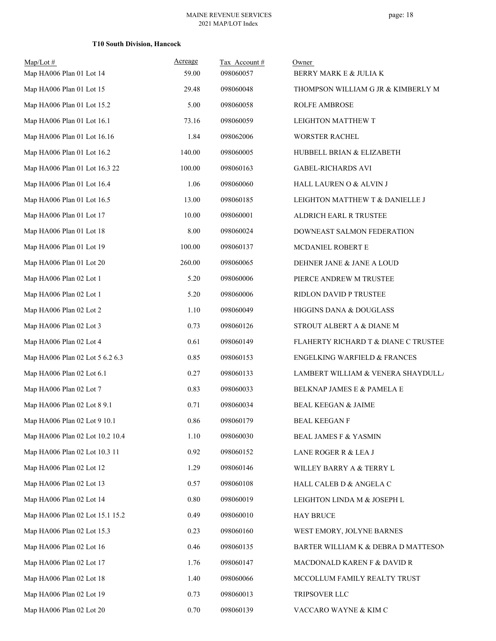| $Map/Lot \#$<br>Map HA006 Plan 01 Lot 14 | Acreage<br>59.00 | Tax Account#<br>098060057 | Owner<br>BERRY MARK E & JULIA K         |
|------------------------------------------|------------------|---------------------------|-----------------------------------------|
| Map HA006 Plan 01 Lot 15                 | 29.48            | 098060048                 | THOMPSON WILLIAM G JR & KIMBERLY M      |
| Map HA006 Plan 01 Lot 15.2               | 5.00             | 098060058                 | <b>ROLFE AMBROSE</b>                    |
| Map HA006 Plan 01 Lot 16.1               | 73.16            | 098060059                 | LEIGHTON MATTHEW T                      |
| Map HA006 Plan 01 Lot 16.16              | 1.84             | 098062006                 | WORSTER RACHEL                          |
| Map HA006 Plan 01 Lot 16.2               | 140.00           | 098060005                 | HUBBELL BRIAN & ELIZABETH               |
| Map HA006 Plan 01 Lot 16.3 22            | 100.00           | 098060163                 | <b>GABEL-RICHARDS AVI</b>               |
| Map HA006 Plan 01 Lot 16.4               | 1.06             | 098060060                 | HALL LAUREN O & ALVIN J                 |
| Map HA006 Plan 01 Lot 16.5               | 13.00            | 098060185                 | LEIGHTON MATTHEW T & DANIELLE J         |
| Map HA006 Plan 01 Lot 17                 | 10.00            | 098060001                 | ALDRICH EARL R TRUSTEE                  |
| Map HA006 Plan 01 Lot 18                 | 8.00             | 098060024                 | DOWNEAST SALMON FEDERATION              |
| Map HA006 Plan 01 Lot 19                 | 100.00           | 098060137                 | MCDANIEL ROBERT E                       |
| Map HA006 Plan 01 Lot 20                 | 260.00           | 098060065                 | DEHNER JANE & JANE A LOUD               |
| Map HA006 Plan 02 Lot 1                  | 5.20             | 098060006                 | PIERCE ANDREW M TRUSTEE                 |
| Map HA006 Plan 02 Lot 1                  | 5.20             | 098060006                 | RIDLON DAVID P TRUSTEE                  |
| Map HA006 Plan 02 Lot 2                  | 1.10             | 098060049                 | HIGGINS DANA & DOUGLASS                 |
| Map HA006 Plan 02 Lot 3                  | 0.73             | 098060126                 | STROUT ALBERT A & DIANE M               |
| Map HA006 Plan 02 Lot 4                  | 0.61             | 098060149                 | FLAHERTY RICHARD T & DIANE C TRUSTEE    |
| Map HA006 Plan 02 Lot 5 6.2 6.3          | 0.85             | 098060153                 | <b>ENGELKING WARFIELD &amp; FRANCES</b> |
| Map HA006 Plan 02 Lot 6.1                | 0.27             | 098060133                 | LAMBERT WILLIAM & VENERA SHAYDULL/      |
| Map HA006 Plan 02 Lot 7                  | 0.83             | 098060033                 | BELKNAP JAMES E & PAMELA E              |
| Map HA006 Plan 02 Lot 8 9.1              | 0.71             | 098060034                 | <b>BEAL KEEGAN &amp; JAIME</b>          |
| Map HA006 Plan 02 Lot 9 10.1             | 0.86             | 098060179                 | BEAL KEEGAN F                           |
| Map HA006 Plan 02 Lot 10.2 10.4          | 1.10             | 098060030                 | <b>BEAL JAMES F &amp; YASMIN</b>        |
| Map HA006 Plan 02 Lot 10.3 11            | 0.92             | 098060152                 | LANE ROGER R & LEA J                    |
| Map HA006 Plan 02 Lot 12                 | 1.29             | 098060146                 | WILLEY BARRY A & TERRY L                |
| Map HA006 Plan 02 Lot 13                 | 0.57             | 098060108                 | HALL CALEB D & ANGELA C                 |
| Map HA006 Plan 02 Lot 14                 | $0.80\,$         | 098060019                 | LEIGHTON LINDA M & JOSEPH L             |
| Map HA006 Plan 02 Lot 15.1 15.2          | 0.49             | 098060010                 | <b>HAY BRUCE</b>                        |
| Map HA006 Plan 02 Lot 15.3               | 0.23             | 098060160                 | WEST EMORY, JOLYNE BARNES               |
| Map HA006 Plan 02 Lot 16                 | 0.46             | 098060135                 | BARTER WILLIAM K & DEBRA D MATTESON     |
| Map HA006 Plan 02 Lot 17                 | 1.76             | 098060147                 | MACDONALD KAREN F & DAVID R             |
| Map HA006 Plan 02 Lot 18                 | 1.40             | 098060066                 | MCCOLLUM FAMILY REALTY TRUST            |
| Map HA006 Plan 02 Lot 19                 | 0.73             | 098060013                 | TRIPSOVER LLC                           |
| Map HA006 Plan 02 Lot 20                 | 0.70             | 098060139                 | VACCARO WAYNE & KIM C                   |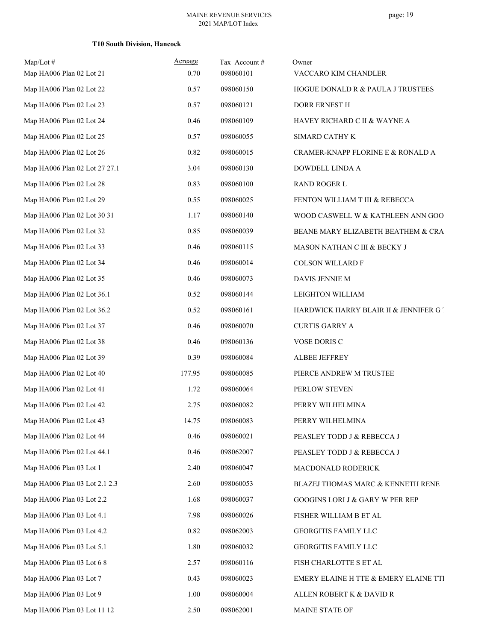| $Map/Lot$ #                   | Acreage | Tax Account# | Owner                                      |
|-------------------------------|---------|--------------|--------------------------------------------|
| Map HA006 Plan 02 Lot 21      | 0.70    | 098060101    | VACCARO KIM CHANDLER                       |
| Map HA006 Plan 02 Lot 22      | 0.57    | 098060150    | HOGUE DONALD R & PAULA J TRUSTEES          |
| Map HA006 Plan 02 Lot 23      | 0.57    | 098060121    | DORR ERNEST H                              |
| Map HA006 Plan 02 Lot 24      | 0.46    | 098060109    | HAVEY RICHARD C II & WAYNE A               |
| Map HA006 Plan 02 Lot 25      | 0.57    | 098060055    | SIMARD CATHY K                             |
| Map HA006 Plan 02 Lot 26      | 0.82    | 098060015    | CRAMER-KNAPP FLORINE E & RONALD A          |
| Map HA006 Plan 02 Lot 27 27.1 | 3.04    | 098060130    | DOWDELL LINDA A                            |
| Map HA006 Plan 02 Lot 28      | 0.83    | 098060100    | <b>RAND ROGER L</b>                        |
| Map HA006 Plan 02 Lot 29      | 0.55    | 098060025    | FENTON WILLIAM T III & REBECCA             |
| Map HA006 Plan 02 Lot 30 31   | 1.17    | 098060140    | WOOD CASWELL W & KATHLEEN ANN GOO          |
| Map HA006 Plan 02 Lot 32      | 0.85    | 098060039    | BEANE MARY ELIZABETH BEATHEM & CRA         |
| Map HA006 Plan 02 Lot 33      | 0.46    | 098060115    | MASON NATHAN C III & BECKY J               |
| Map HA006 Plan 02 Lot 34      | 0.46    | 098060014    | <b>COLSON WILLARD F</b>                    |
| Map HA006 Plan 02 Lot 35      | 0.46    | 098060073    | DAVIS JENNIE M                             |
| Map HA006 Plan 02 Lot 36.1    | 0.52    | 098060144    | LEIGHTON WILLIAM                           |
| Map HA006 Plan 02 Lot 36.2    | 0.52    | 098060161    | HARDWICK HARRY BLAIR II & JENNIFER GT      |
| Map HA006 Plan 02 Lot 37      | 0.46    | 098060070    | <b>CURTIS GARRY A</b>                      |
| Map HA006 Plan 02 Lot 38      | 0.46    | 098060136    | VOSE DORIS C                               |
| Map HA006 Plan 02 Lot 39      | 0.39    | 098060084    | ALBEE JEFFREY                              |
| Map HA006 Plan 02 Lot 40      | 177.95  | 098060085    | PIERCE ANDREW M TRUSTEE                    |
| Map HA006 Plan 02 Lot 41      | 1.72    | 098060064    | PERLOW STEVEN                              |
| Map HA006 Plan 02 Lot 42      | 2.75    | 098060082    | PERRY WILHELMINA                           |
| Map HA006 Plan 02 Lot 43      | 14.75   | 098060083    | PERRY WILHELMINA                           |
| Map HA006 Plan 02 Lot 44      | 0.46    | 098060021    | PEASLEY TODD J & REBECCA J                 |
| Map HA006 Plan 02 Lot 44.1    | 0.46    | 098062007    | PEASLEY TODD J & REBECCA J                 |
| Map HA006 Plan 03 Lot 1       | 2.40    | 098060047    | MACDONALD RODERICK                         |
| Map HA006 Plan 03 Lot 2.1 2.3 | 2.60    | 098060053    | BLAZEJ THOMAS MARC & KENNETH RENE          |
| Map HA006 Plan 03 Lot 2.2     | 1.68    | 098060037    | <b>GOOGINS LORI J &amp; GARY W PER REP</b> |
| Map HA006 Plan 03 Lot 4.1     | 7.98    | 098060026    | FISHER WILLIAM B ET AL                     |
| Map HA006 Plan 03 Lot 4.2     | 0.82    | 098062003    | <b>GEORGITIS FAMILY LLC</b>                |
| Map HA006 Plan 03 Lot 5.1     | 1.80    | 098060032    | <b>GEORGITIS FAMILY LLC</b>                |
| Map HA006 Plan 03 Lot 6 8     | 2.57    | 098060116    | FISH CHARLOTTE S ET AL                     |
| Map HA006 Plan 03 Lot 7       | 0.43    | 098060023    | EMERY ELAINE H TTE & EMERY ELAINE TTI      |
| Map HA006 Plan 03 Lot 9       | 1.00    | 098060004    | ALLEN ROBERT K & DAVID R                   |
| Map HA006 Plan 03 Lot 11 12   | 2.50    | 098062001    | MAINE STATE OF                             |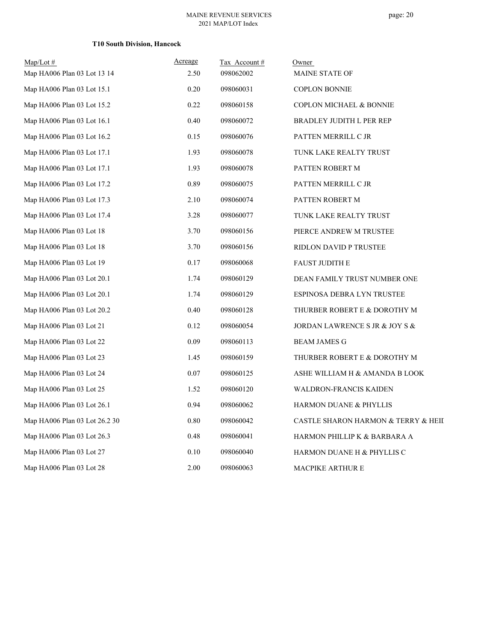page: 20

| $Map/Lot \#$<br>Map HA006 Plan 03 Lot 13 14 | Acreage<br>2.50 | Tax Account#<br>098062002 | Owner<br>MAINE STATE OF             |
|---------------------------------------------|-----------------|---------------------------|-------------------------------------|
| Map HA006 Plan 03 Lot 15.1                  | 0.20            | 098060031                 | <b>COPLON BONNIE</b>                |
| Map HA006 Plan 03 Lot 15.2                  | 0.22            | 098060158                 | COPLON MICHAEL & BONNIE             |
| Map HA006 Plan 03 Lot 16.1                  | 0.40            | 098060072                 | <b>BRADLEY JUDITH L PER REP</b>     |
| Map HA006 Plan 03 Lot 16.2                  | 0.15            | 098060076                 | PATTEN MERRILL C JR                 |
| Map HA006 Plan 03 Lot 17.1                  | 1.93            | 098060078                 | TUNK LAKE REALTY TRUST              |
| Map HA006 Plan 03 Lot 17.1                  | 1.93            | 098060078                 | PATTEN ROBERT M                     |
| Map HA006 Plan 03 Lot 17.2                  | 0.89            | 098060075                 | PATTEN MERRILL C JR                 |
| Map HA006 Plan 03 Lot 17.3                  | 2.10            | 098060074                 | PATTEN ROBERT M                     |
| Map HA006 Plan 03 Lot 17.4                  | 3.28            | 098060077                 | TUNK LAKE REALTY TRUST              |
| Map HA006 Plan 03 Lot 18                    | 3.70            | 098060156                 | PIERCE ANDREW M TRUSTEE             |
| Map HA006 Plan 03 Lot 18                    | 3.70            | 098060156                 | RIDLON DAVID P TRUSTEE              |
| Map HA006 Plan 03 Lot 19                    | 0.17            | 098060068                 | <b>FAUST JUDITH E</b>               |
| Map HA006 Plan 03 Lot 20.1                  | 1.74            | 098060129                 | DEAN FAMILY TRUST NUMBER ONE        |
| Map HA006 Plan 03 Lot 20.1                  | 1.74            | 098060129                 | ESPINOSA DEBRA LYN TRUSTEE          |
| Map HA006 Plan 03 Lot 20.2                  | 0.40            | 098060128                 | THURBER ROBERT E & DOROTHY M        |
| Map HA006 Plan 03 Lot 21                    | 0.12            | 098060054                 | JORDAN LAWRENCE S JR & JOY S &      |
| Map HA006 Plan 03 Lot 22                    | 0.09            | 098060113                 | <b>BEAM JAMES G</b>                 |
| Map HA006 Plan 03 Lot 23                    | 1.45            | 098060159                 | THURBER ROBERT E & DOROTHY M        |
| Map HA006 Plan 03 Lot 24                    | 0.07            | 098060125                 | ASHE WILLIAM H & AMANDA B LOOK      |
| Map HA006 Plan 03 Lot 25                    | 1.52            | 098060120                 | <b>WALDRON-FRANCIS KAIDEN</b>       |
| Map HA006 Plan 03 Lot 26.1                  | 0.94            | 098060062                 | HARMON DUANE & PHYLLIS              |
| Map HA006 Plan 03 Lot 26.2 30               | 0.80            | 098060042                 | CASTLE SHARON HARMON & TERRY & HEII |
| Map HA006 Plan 03 Lot 26.3                  | 0.48            | 098060041                 | HARMON PHILLIP K & BARBARA A        |
| Map HA006 Plan 03 Lot 27                    | 0.10            | 098060040                 | HARMON DUANE H & PHYLLIS C          |
| Map HA006 Plan 03 Lot 28                    | 2.00            | 098060063                 | <b>MACPIKE ARTHUR E</b>             |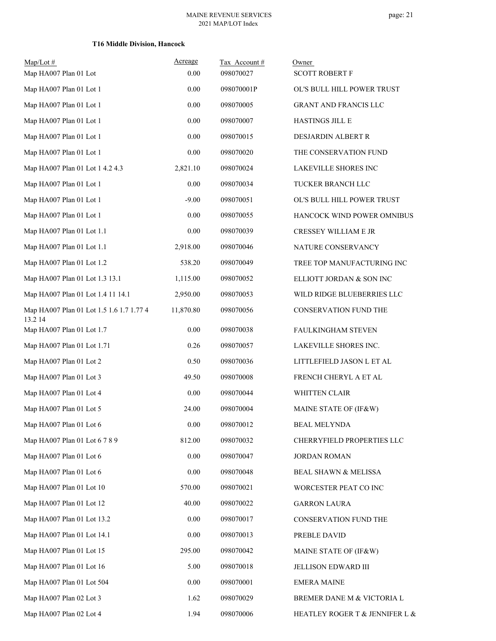| $Map/Lot$ #                                         | Acreage   | Tax Account# | Owner                          |
|-----------------------------------------------------|-----------|--------------|--------------------------------|
| Map HA007 Plan 01 Lot                               | 0.00      | 098070027    | <b>SCOTT ROBERT F</b>          |
| Map HA007 Plan 01 Lot 1                             | 0.00      | 098070001P   | OL'S BULL HILL POWER TRUST     |
| Map HA007 Plan 01 Lot 1                             | 0.00      | 098070005    | <b>GRANT AND FRANCIS LLC</b>   |
| Map HA007 Plan 01 Lot 1                             | 0.00      | 098070007    | <b>HASTINGS JILL E</b>         |
| Map HA007 Plan 01 Lot 1                             | 0.00      | 098070015    | DESJARDIN ALBERT R             |
| Map HA007 Plan 01 Lot 1                             | $0.00\,$  | 098070020    | THE CONSERVATION FUND          |
| Map HA007 Plan 01 Lot 1 4.2 4.3                     | 2,821.10  | 098070024    | LAKEVILLE SHORES INC           |
| Map HA007 Plan 01 Lot 1                             | 0.00      | 098070034    | TUCKER BRANCH LLC              |
| Map HA007 Plan 01 Lot 1                             | $-9.00$   | 098070051    | OL'S BULL HILL POWER TRUST     |
| Map HA007 Plan 01 Lot 1                             | 0.00      | 098070055    | HANCOCK WIND POWER OMNIBUS     |
| Map HA007 Plan 01 Lot 1.1                           | 0.00      | 098070039    | <b>CRESSEY WILLIAM E JR</b>    |
| Map HA007 Plan 01 Lot 1.1                           | 2,918.00  | 098070046    | NATURE CONSERVANCY             |
| Map HA007 Plan 01 Lot 1.2                           | 538.20    | 098070049    | TREE TOP MANUFACTURING INC     |
| Map HA007 Plan 01 Lot 1.3 13.1                      | 1,115.00  | 098070052    | ELLIOTT JORDAN & SON INC       |
| Map HA007 Plan 01 Lot 1.4 11 14.1                   | 2,950.00  | 098070053    | WILD RIDGE BLUEBERRIES LLC     |
| Map HA007 Plan 01 Lot 1.5 1.6 1.7 1.77 4<br>13.2 14 | 11,870.80 | 098070056    | CONSERVATION FUND THE          |
| Map HA007 Plan 01 Lot 1.7                           | 0.00      | 098070038    | FAULKINGHAM STEVEN             |
| Map HA007 Plan 01 Lot 1.71                          | 0.26      | 098070057    | LAKEVILLE SHORES INC.          |
| Map HA007 Plan 01 Lot 2                             | 0.50      | 098070036    | LITTLEFIELD JASON L ET AL      |
| Map HA007 Plan 01 Lot 3                             | 49.50     | 098070008    | FRENCH CHERYL A ET AL          |
| Map HA007 Plan 01 Lot 4                             | 0.00      | 098070044    | WHITTEN CLAIR                  |
| Map HA007 Plan 01 Lot 5                             | 24.00     | 098070004    | MAINE STATE OF (IF&W)          |
| Map HA007 Plan 01 Lot 6                             | $0.00\,$  | 098070012    | <b>BEAL MELYNDA</b>            |
| Map HA007 Plan 01 Lot 6 7 8 9                       | 812.00    | 098070032    | CHERRYFIELD PROPERTIES LLC     |
| Map HA007 Plan 01 Lot 6                             | 0.00      | 098070047    | <b>JORDAN ROMAN</b>            |
| Map HA007 Plan 01 Lot 6                             | 0.00      | 098070048    | BEAL SHAWN & MELISSA           |
| Map HA007 Plan 01 Lot 10                            | 570.00    | 098070021    | WORCESTER PEAT CO INC          |
| Map HA007 Plan 01 Lot 12                            | 40.00     | 098070022    | <b>GARRON LAURA</b>            |
| Map HA007 Plan 01 Lot 13.2                          | 0.00      | 098070017    | CONSERVATION FUND THE          |
| Map HA007 Plan 01 Lot 14.1                          | 0.00      | 098070013    | PREBLE DAVID                   |
| Map HA007 Plan 01 Lot 15                            | 295.00    | 098070042    | MAINE STATE OF (IF&W)          |
| Map HA007 Plan 01 Lot 16                            | 5.00      | 098070018    | JELLISON EDWARD III            |
| Map HA007 Plan 01 Lot 504                           | 0.00      | 098070001    | <b>EMERA MAINE</b>             |
| Map HA007 Plan 02 Lot 3                             | 1.62      | 098070029    | BREMER DANE M & VICTORIA L     |
| Map HA007 Plan 02 Lot 4                             | 1.94      | 098070006    | HEATLEY ROGER T & JENNIFER L & |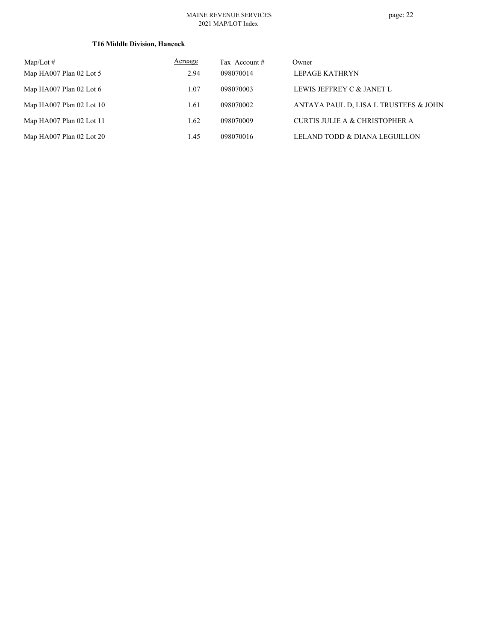#### MAINE REVENUE SERVICES 2021 MAP/LOT Index

| Map/Lot $#$                | Acreage | Tax Account # | Owner                                 |
|----------------------------|---------|---------------|---------------------------------------|
| Map HA007 Plan 02 Lot 5    | 2.94    | 098070014     | LEPAGE KATHRYN                        |
| Map HA007 Plan 02 Lot 6    | 1.07    | 098070003     | LEWIS JEFFREY C & JANET L             |
| Map $HA007$ Plan 02 Lot 10 | 1.61    | 098070002     | ANTAYA PAUL D, LISA L TRUSTEES & JOHN |
| Map $HA007$ Plan 02 Lot 11 | 1.62    | 098070009     | CURTIS JULIE A & CHRISTOPHER A        |
| Map HA007 Plan 02 Lot 20   | 1.45    | 098070016     | LELAND TODD & DIANA LEGUILLON         |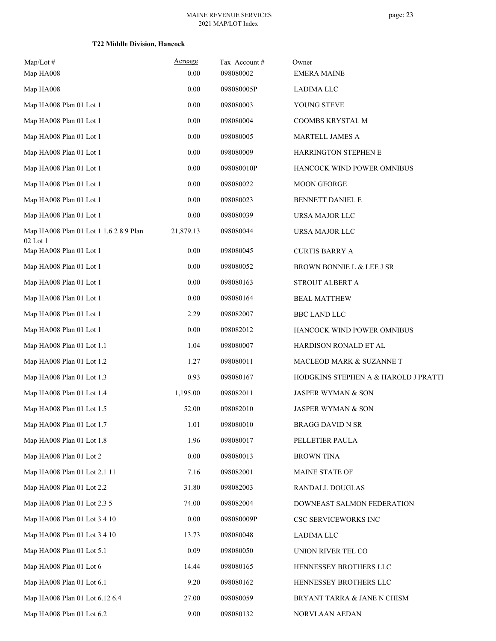| $Map/Lot \#$<br>Map HA008                          | Acreage<br>0.00 | Tax Account#<br>098080002 | Owner<br><b>EMERA MAINE</b>          |
|----------------------------------------------------|-----------------|---------------------------|--------------------------------------|
| Map HA008                                          | 0.00            | 098080005P                | LADIMA LLC                           |
| Map HA008 Plan 01 Lot 1                            | 0.00            | 098080003                 | YOUNG STEVE                          |
| Map HA008 Plan 01 Lot 1                            | 0.00            | 098080004                 | COOMBS KRYSTAL M                     |
| Map HA008 Plan 01 Lot 1                            | 0.00            | 098080005                 | MARTELL JAMES A                      |
| Map HA008 Plan 01 Lot 1                            | 0.00            | 098080009                 | HARRINGTON STEPHEN E                 |
| Map HA008 Plan 01 Lot 1                            | 0.00            | 098080010P                | HANCOCK WIND POWER OMNIBUS           |
| Map HA008 Plan 01 Lot 1                            | 0.00            | 098080022                 | MOON GEORGE                          |
| Map HA008 Plan 01 Lot 1                            | 0.00            | 098080023                 | <b>BENNETT DANIEL E</b>              |
| Map HA008 Plan 01 Lot 1                            | 0.00            | 098080039                 | URSA MAJOR LLC                       |
| Map HA008 Plan 01 Lot 1 1.6 2 8 9 Plan<br>02 Lot 1 | 21,879.13       | 098080044                 | URSA MAJOR LLC                       |
| Map HA008 Plan 01 Lot 1                            | 0.00            | 098080045                 | <b>CURTIS BARRY A</b>                |
| Map HA008 Plan 01 Lot 1                            | 0.00            | 098080052                 | BROWN BONNIE L & LEE J SR            |
| Map HA008 Plan 01 Lot 1                            | 0.00            | 098080163                 | STROUT ALBERT A                      |
| Map HA008 Plan 01 Lot 1                            | 0.00            | 098080164                 | <b>BEAL MATTHEW</b>                  |
| Map HA008 Plan 01 Lot 1                            | 2.29            | 098082007                 | <b>BBC LAND LLC</b>                  |
| Map HA008 Plan 01 Lot 1                            | 0.00            | 098082012                 | HANCOCK WIND POWER OMNIBUS           |
| Map HA008 Plan 01 Lot 1.1                          | 1.04            | 098080007                 | HARDISON RONALD ET AL                |
| Map HA008 Plan 01 Lot 1.2                          | 1.27            | 098080011                 | MACLEOD MARK & SUZANNE T             |
| Map HA008 Plan 01 Lot 1.3                          | 0.93            | 098080167                 | HODGKINS STEPHEN A & HAROLD J PRATTI |
| Map HA008 Plan 01 Lot 1.4                          | 1,195.00        | 098082011                 | JASPER WYMAN & SON                   |
| Map HA008 Plan 01 Lot 1.5                          | 52.00           | 098082010                 | JASPER WYMAN & SON                   |
| Map HA008 Plan 01 Lot 1.7                          | 1.01            | 098080010                 | <b>BRAGG DAVID N SR</b>              |
| Map HA008 Plan 01 Lot 1.8                          | 1.96            | 098080017                 | PELLETIER PAULA                      |
| Map HA008 Plan 01 Lot 2                            | $0.00\,$        | 098080013                 | <b>BROWN TINA</b>                    |
| Map HA008 Plan 01 Lot 2.1 11                       | 7.16            | 098082001                 | MAINE STATE OF                       |
| Map HA008 Plan 01 Lot 2.2                          | 31.80           | 098082003                 | RANDALL DOUGLAS                      |
| Map HA008 Plan 01 Lot 2.3 5                        | 74.00           | 098082004                 | DOWNEAST SALMON FEDERATION           |
| Map HA008 Plan 01 Lot 3 4 10                       | 0.00            | 098080009P                | CSC SERVICEWORKS INC                 |
| Map HA008 Plan 01 Lot 3 4 10                       | 13.73           | 098080048                 | LADIMA LLC                           |
| Map HA008 Plan 01 Lot 5.1                          | 0.09            | 098080050                 | UNION RIVER TEL CO                   |
| Map HA008 Plan 01 Lot 6                            | 14.44           | 098080165                 | HENNESSEY BROTHERS LLC               |
| Map HA008 Plan 01 Lot 6.1                          | 9.20            | 098080162                 | HENNESSEY BROTHERS LLC               |
| Map HA008 Plan 01 Lot 6.12 6.4                     | 27.00           | 098080059                 | BRYANT TARRA & JANE N CHISM          |
| Map HA008 Plan 01 Lot 6.2                          | 9.00            | 098080132                 | NORVLAAN AEDAN                       |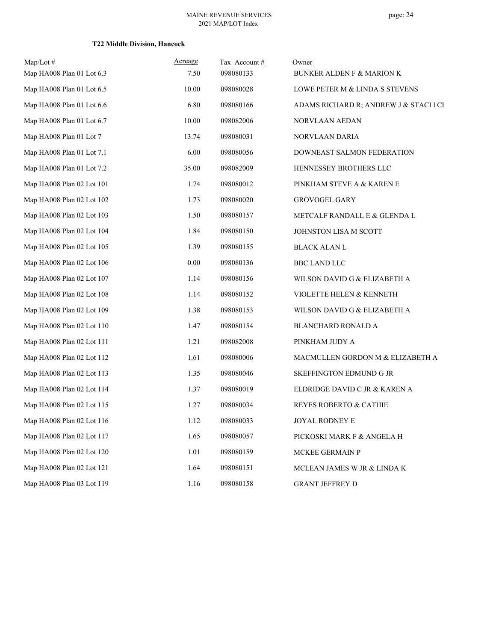| $Map/Lot \#$              | Acreage | Tax Account# | Owner                                  |
|---------------------------|---------|--------------|----------------------------------------|
| Map HA008 Plan 01 Lot 6.3 | 7.50    | 098080133    | <b>BUNKER ALDEN F &amp; MARION K</b>   |
| Map HA008 Plan 01 Lot 6.5 | 10.00   | 098080028    | LOWE PETER M & LINDA S STEVENS         |
| Map HA008 Plan 01 Lot 6.6 | 6.80    | 098080166    | ADAMS RICHARD R; ANDREW J & STACI 1 CH |
| Map HA008 Plan 01 Lot 6.7 | 10.00   | 098082006    | NORVLAAN AEDAN                         |
| Map HA008 Plan 01 Lot 7   | 13.74   | 098080031    | NORVLAAN DARIA                         |
| Map HA008 Plan 01 Lot 7.1 | 6.00    | 098080056    | DOWNEAST SALMON FEDERATION             |
| Map HA008 Plan 01 Lot 7.2 | 35.00   | 098082009    | HENNESSEY BROTHERS LLC                 |
| Map HA008 Plan 02 Lot 101 | 1.74    | 098080012    | PINKHAM STEVE A & KAREN E              |
| Map HA008 Plan 02 Lot 102 | 1.73    | 098080020    | <b>GROVOGEL GARY</b>                   |
| Map HA008 Plan 02 Lot 103 | 1.50    | 098080157    | METCALF RANDALL E & GLENDA L           |
| Map HA008 Plan 02 Lot 104 | 1.84    | 098080150    | JOHNSTON LISA M SCOTT                  |
| Map HA008 Plan 02 Lot 105 | 1.39    | 098080155    | <b>BLACK ALAN L</b>                    |
| Map HA008 Plan 02 Lot 106 | 0.00    | 098080136    | <b>BBC LAND LLC</b>                    |
| Map HA008 Plan 02 Lot 107 | 1.14    | 098080156    | WILSON DAVID G & ELIZABETH A           |
| Map HA008 Plan 02 Lot 108 | 1.14    | 098080152    | VIOLETTE HELEN & KENNETH               |
| Map HA008 Plan 02 Lot 109 | 1.38    | 098080153    | WILSON DAVID G & ELIZABETH A           |
| Map HA008 Plan 02 Lot 110 | 1.47    | 098080154    | BLANCHARD RONALD A                     |
| Map HA008 Plan 02 Lot 111 | 1.21    | 098082008    | PINKHAM JUDY A                         |
| Map HA008 Plan 02 Lot 112 | 1.61    | 098080006    | MACMULLEN GORDON M & ELIZABETH A       |
| Map HA008 Plan 02 Lot 113 | 1.35    | 098080046    | SKEFFINGTON EDMUND G JR                |
| Map HA008 Plan 02 Lot 114 | 1.37    | 098080019    | ELDRIDGE DAVID C JR & KAREN A          |
| Map HA008 Plan 02 Lot 115 | 1.27    | 098080034    | REYES ROBERTO & CATHIE                 |
| Map HA008 Plan 02 Lot 116 | 1.12    | 098080033    | JOYAL RODNEY E                         |
| Map HA008 Plan 02 Lot 117 | 1.65    | 098080057    | PICKOSKI MARK F & ANGELA H             |
| Map HA008 Plan 02 Lot 120 | 1.01    | 098080159    | MCKEE GERMAIN P                        |
| Map HA008 Plan 02 Lot 121 | 1.64    | 098080151    | MCLEAN JAMES W JR & LINDA K            |
| Map HA008 Plan 03 Lot 119 | 1.16    | 098080158    | <b>GRANT JEFFREY D</b>                 |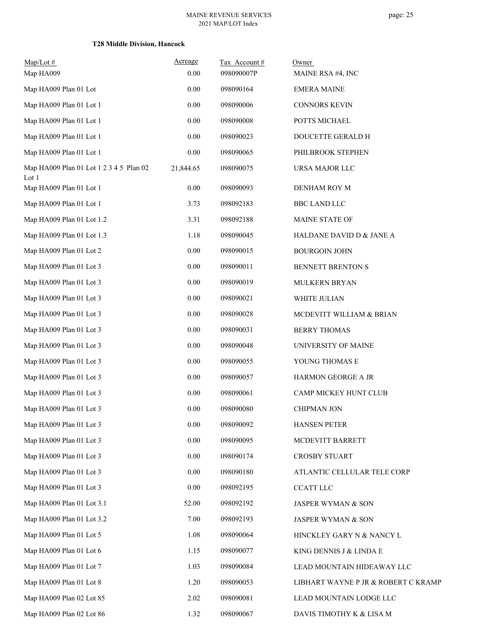| $Map/Lot$ #<br>Map HA009                         | Acreage<br>0.00 | Tax Account#<br>098090007P | Owner<br>MAINE RSA #4, INC          |
|--------------------------------------------------|-----------------|----------------------------|-------------------------------------|
| Map HA009 Plan 01 Lot                            | 0.00            | 098090164                  | <b>EMERA MAINE</b>                  |
| Map HA009 Plan 01 Lot 1                          | 0.00            | 098090006                  | <b>CONNORS KEVIN</b>                |
| Map HA009 Plan 01 Lot 1                          | 0.00            | 098090008                  | POTTS MICHAEL                       |
| Map HA009 Plan 01 Lot 1                          | 0.00            | 098090023                  | DOUCETTE GERALD H                   |
| Map HA009 Plan 01 Lot 1                          | 0.00            | 098090065                  | PHILBROOK STEPHEN                   |
| Map HA009 Plan 01 Lot 1 2 3 4 5 Plan 02<br>Lot 1 | 21,844.65       | 098090075                  | URSA MAJOR LLC                      |
| Map HA009 Plan 01 Lot 1                          | 0.00            | 098090093                  | DENHAM ROY M                        |
| Map HA009 Plan 01 Lot 1                          | 3.73            | 098092183                  | <b>BBC LAND LLC</b>                 |
| Map HA009 Plan 01 Lot 1.2                        | 3.31            | 098092188                  | MAINE STATE OF                      |
| Map HA009 Plan 01 Lot 1.3                        | 1.18            | 098090045                  | HALDANE DAVID D & JANE A            |
| Map HA009 Plan 01 Lot 2                          | 0.00            | 098090015                  | <b>BOURGOIN JOHN</b>                |
| Map HA009 Plan 01 Lot 3                          | 0.00            | 098090011                  | BENNETT BRENTON S                   |
| Map HA009 Plan 01 Lot 3                          | 0.00            | 098090019                  | MULKERN BRYAN                       |
| Map HA009 Plan 01 Lot 3                          | 0.00            | 098090021                  | WHITE JULIAN                        |
| Map HA009 Plan 01 Lot 3                          | 0.00            | 098090028                  | MCDEVITT WILLIAM & BRIAN            |
| Map HA009 Plan 01 Lot 3                          | 0.00            | 098090031                  | <b>BERRY THOMAS</b>                 |
| Map HA009 Plan 01 Lot 3                          | 0.00            | 098090048                  | UNIVERSITY OF MAINE                 |
| Map HA009 Plan 01 Lot 3                          | 0.00            | 098090055                  | YOUNG THOMAS E                      |
| Map HA009 Plan 01 Lot 3                          | 0.00            | 098090057                  | HARMON GEORGE A JR                  |
| Map HA009 Plan 01 Lot 3                          | 0.00            | 098090061                  | <b>CAMP MICKEY HUNT CLUB</b>        |
| Map HA009 Plan 01 Lot 3                          | 0.00            | 098090080                  | <b>CHIPMAN JON</b>                  |
| Map HA009 Plan 01 Lot 3                          | 0.00            | 098090092                  | <b>HANSEN PETER</b>                 |
| Map HA009 Plan 01 Lot 3                          | 0.00            | 098090095                  | MCDEVITT BARRETT                    |
| Map HA009 Plan 01 Lot 3                          | 0.00            | 098090174                  | <b>CROSBY STUART</b>                |
| Map HA009 Plan 01 Lot 3                          | 0.00            | 098090180                  | ATLANTIC CELLULAR TELE CORP         |
| Map HA009 Plan 01 Lot 3                          | 0.00            | 098092195                  | <b>CCATT LLC</b>                    |
| Map HA009 Plan 01 Lot 3.1                        | 52.00           | 098092192                  | JASPER WYMAN & SON                  |
| Map HA009 Plan 01 Lot 3.2                        | 7.00            | 098092193                  | <b>JASPER WYMAN &amp; SON</b>       |
| Map HA009 Plan 01 Lot 5                          | 1.08            | 098090064                  | HINCKLEY GARY N & NANCY L           |
| Map HA009 Plan 01 Lot 6                          | 1.15            | 098090077                  | KING DENNIS J & LINDA E             |
| Map HA009 Plan 01 Lot 7                          | 1.03            | 098090084                  | LEAD MOUNTAIN HIDEAWAY LLC          |
| Map HA009 Plan 01 Lot 8                          | 1.20            | 098090053                  | LIBHART WAYNE P JR & ROBERT C KRAMP |
| Map HA009 Plan 02 Lot 85                         | 2.02            | 098090081                  | LEAD MOUNTAIN LODGE LLC             |
| Map HA009 Plan 02 Lot 86                         | 1.32            | 098090067                  | DAVIS TIMOTHY K & LISA M            |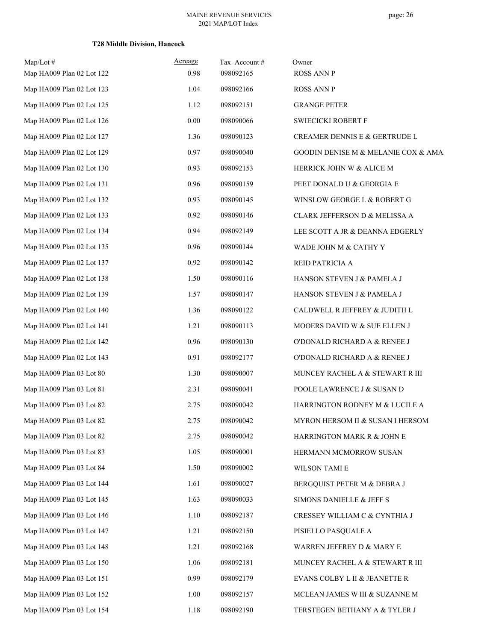| $Map/Lot \#$<br>Map HA009 Plan 02 Lot 122 | Acreage<br>0.98 | Tax Account#<br>098092165 | Owner<br><b>ROSS ANN P</b>          |
|-------------------------------------------|-----------------|---------------------------|-------------------------------------|
| Map HA009 Plan 02 Lot 123                 | 1.04            | 098092166                 | <b>ROSS ANN P</b>                   |
| Map HA009 Plan 02 Lot 125                 | 1.12            | 098092151                 | <b>GRANGE PETER</b>                 |
| Map HA009 Plan 02 Lot 126                 | 0.00            | 098090066                 | <b>SWIECICKI ROBERT F</b>           |
| Map HA009 Plan 02 Lot 127                 | 1.36            | 098090123                 | CREAMER DENNIS E & GERTRUDE L       |
| Map HA009 Plan 02 Lot 129                 | 0.97            | 098090040                 | GOODIN DENISE M & MELANIE COX & AMA |
| Map HA009 Plan 02 Lot 130                 | 0.93            | 098092153                 | HERRICK JOHN W & ALICE M            |
| Map HA009 Plan 02 Lot 131                 | 0.96            | 098090159                 | PEET DONALD U & GEORGIA E           |
| Map HA009 Plan 02 Lot 132                 | 0.93            | 098090145                 | WINSLOW GEORGE L & ROBERT G         |
| Map HA009 Plan 02 Lot 133                 | 0.92            | 098090146                 | CLARK JEFFERSON D & MELISSA A       |
| Map HA009 Plan 02 Lot 134                 | 0.94            | 098092149                 | LEE SCOTT A JR & DEANNA EDGERLY     |
| Map HA009 Plan 02 Lot 135                 | 0.96            | 098090144                 | WADE JOHN M & CATHY Y               |
| Map HA009 Plan 02 Lot 137                 | 0.92            | 098090142                 | REID PATRICIA A                     |
| Map HA009 Plan 02 Lot 138                 | 1.50            | 098090116                 | HANSON STEVEN J & PAMELA J          |
| Map HA009 Plan 02 Lot 139                 | 1.57            | 098090147                 |                                     |
| Map HA009 Plan 02 Lot 140                 | 1.36            | 098090122                 | HANSON STEVEN J & PAMELA J          |
| Map HA009 Plan 02 Lot 141                 | 1.21            | 098090113                 | CALDWELL R JEFFREY & JUDITH L       |
|                                           |                 |                           | MOOERS DAVID W & SUE ELLEN J        |
| Map HA009 Plan 02 Lot 142                 | 0.96            | 098090130                 | O'DONALD RICHARD A & RENEE J        |
| Map HA009 Plan 02 Lot 143                 | 0.91            | 098092177                 | O'DONALD RICHARD A & RENEE J        |
| Map HA009 Plan 03 Lot 80                  | 1.30            | 098090007                 | MUNCEY RACHEL A & STEWART R III     |
| Map HA009 Plan 03 Lot 81                  | 2.31            | 098090041                 | POOLE LAWRENCE J & SUSAN D          |
| Map HA009 Plan 03 Lot 82                  | 2.75            | 098090042                 | HARRINGTON RODNEY M & LUCILE A      |
| Map HA009 Plan 03 Lot 82                  | 2.75            | 098090042                 | MYRON HERSOM II & SUSAN I HERSOM    |
| Map HA009 Plan 03 Lot 82                  | 2.75            | 098090042                 | HARRINGTON MARK R & JOHN E          |
| Map HA009 Plan 03 Lot 83                  | 1.05            | 098090001                 | HERMANN MCMORROW SUSAN              |
| Map HA009 Plan 03 Lot 84                  | 1.50            | 098090002                 | WILSON TAMI E                       |
| Map HA009 Plan 03 Lot 144                 | 1.61            | 098090027                 | BERGQUIST PETER M & DEBRA J         |
| Map HA009 Plan 03 Lot 145                 | 1.63            | 098090033                 | SIMONS DANIELLE & JEFF S            |
| Map HA009 Plan 03 Lot 146                 | 1.10            | 098092187                 | CRESSEY WILLIAM C & CYNTHIA J       |
| Map HA009 Plan 03 Lot 147                 | 1.21            | 098092150                 | PISIELLO PASQUALE A                 |
| Map HA009 Plan 03 Lot 148                 | 1.21            | 098092168                 | WARREN JEFFREY D & MARY E           |
| Map HA009 Plan 03 Lot 150                 | 1.06            | 098092181                 | MUNCEY RACHEL A & STEWART R III     |
| Map HA009 Plan 03 Lot 151                 | 0.99            | 098092179                 | EVANS COLBY L II & JEANETTE R       |
| Map HA009 Plan 03 Lot 152                 | 1.00            | 098092157                 | MCLEAN JAMES W III & SUZANNE M      |
| Map HA009 Plan 03 Lot 154                 | 1.18            | 098092190                 | TERSTEGEN BETHANY A & TYLER J       |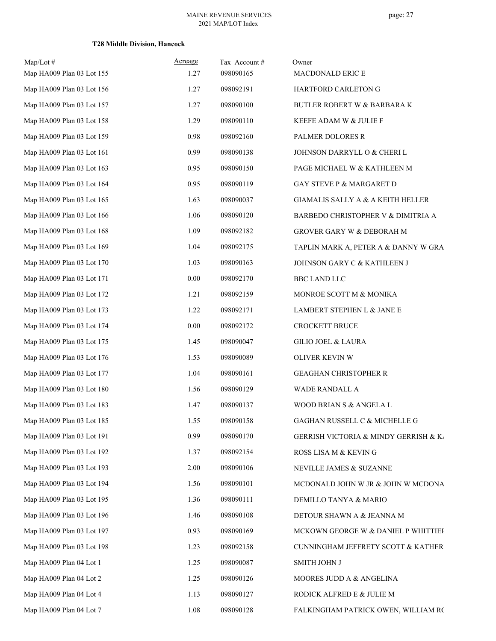| $Map/Lot$ #               | Acreage | Tax Account# | Owner                                                |
|---------------------------|---------|--------------|------------------------------------------------------|
| Map HA009 Plan 03 Lot 155 | 1.27    | 098090165    | MACDONALD ERIC E                                     |
| Map HA009 Plan 03 Lot 156 | 1.27    | 098092191    | HARTFORD CARLETON G                                  |
| Map HA009 Plan 03 Lot 157 | 1.27    | 098090100    | <b>BUTLER ROBERT W &amp; BARBARA K</b>               |
| Map HA009 Plan 03 Lot 158 | 1.29    | 098090110    | KEEFE ADAM W & JULIE F                               |
| Map HA009 Plan 03 Lot 159 | 0.98    | 098092160    | PALMER DOLORES R                                     |
| Map HA009 Plan 03 Lot 161 | 0.99    | 098090138    | JOHNSON DARRYLL O & CHERI L                          |
| Map HA009 Plan 03 Lot 163 | 0.95    | 098090150    | PAGE MICHAEL W & KATHLEEN M                          |
| Map HA009 Plan 03 Lot 164 | 0.95    | 098090119    | GAY STEVE P & MARGARET D                             |
| Map HA009 Plan 03 Lot 165 | 1.63    | 098090037    | <b>GIAMALIS SALLY A &amp; A KEITH HELLER</b>         |
| Map HA009 Plan 03 Lot 166 | 1.06    | 098090120    | BARBEDO CHRISTOPHER V & DIMITRIA A                   |
| Map HA009 Plan 03 Lot 168 | 1.09    | 098092182    | GROVER GARY W & DEBORAH M                            |
| Map HA009 Plan 03 Lot 169 | 1.04    | 098092175    | TAPLIN MARK A, PETER A & DANNY W GRA                 |
| Map HA009 Plan 03 Lot 170 | 1.03    | 098090163    | JOHNSON GARY C & KATHLEEN J                          |
| Map HA009 Plan 03 Lot 171 | 0.00    | 098092170    | <b>BBC LAND LLC</b>                                  |
| Map HA009 Plan 03 Lot 172 | 1.21    | 098092159    | MONROE SCOTT M & MONIKA                              |
| Map HA009 Plan 03 Lot 173 | 1.22    | 098092171    | LAMBERT STEPHEN L & JANE E                           |
| Map HA009 Plan 03 Lot 174 | 0.00    | 098092172    | <b>CROCKETT BRUCE</b>                                |
| Map HA009 Plan 03 Lot 175 | 1.45    | 098090047    | <b>GILIO JOEL &amp; LAURA</b>                        |
| Map HA009 Plan 03 Lot 176 | 1.53    | 098090089    | OLIVER KEVIN W                                       |
| Map HA009 Plan 03 Lot 177 | 1.04    | 098090161    | GEAGHAN CHRISTOPHER R                                |
| Map HA009 Plan 03 Lot 180 | 1.56    | 098090129    | <b>WADE RANDALL A</b>                                |
| Map HA009 Plan 03 Lot 183 | 1.47    | 098090137    | WOOD BRIAN S & ANGELA L                              |
| Map HA009 Plan 03 Lot 185 | 1.55    | 098090158    | GAGHAN RUSSELL C $\&$ MICHELLE G                     |
| Map HA009 Plan 03 Lot 191 | 0.99    | 098090170    | <b>GERRISH VICTORIA &amp; MINDY GERRISH &amp; K.</b> |
| Map HA009 Plan 03 Lot 192 | 1.37    | 098092154    | ROSS LISA M & KEVING                                 |
| Map HA009 Plan 03 Lot 193 | 2.00    | 098090106    | NEVILLE JAMES & SUZANNE                              |
| Map HA009 Plan 03 Lot 194 | 1.56    | 098090101    | MCDONALD JOHN W JR & JOHN W MCDONA                   |
| Map HA009 Plan 03 Lot 195 | 1.36    | 098090111    | DEMILLO TANYA & MARIO                                |
| Map HA009 Plan 03 Lot 196 | 1.46    | 098090108    | DETOUR SHAWN A & JEANNA M                            |
| Map HA009 Plan 03 Lot 197 | 0.93    | 098090169    | MCKOWN GEORGE W & DANIEL P WHITTIEF                  |
| Map HA009 Plan 03 Lot 198 | 1.23    | 098092158    | CUNNINGHAM JEFFRETY SCOTT & KATHER                   |
| Map HA009 Plan 04 Lot 1   | 1.25    | 098090087    | SMITH JOHN J                                         |
| Map HA009 Plan 04 Lot 2   | 1.25    | 098090126    | MOORES JUDD A & ANGELINA                             |
| Map HA009 Plan 04 Lot 4   | 1.13    | 098090127    | RODICK ALFRED E & JULIE M                            |
| Map HA009 Plan 04 Lot 7   | 1.08    | 098090128    | FALKINGHAM PATRICK OWEN, WILLIAM RC                  |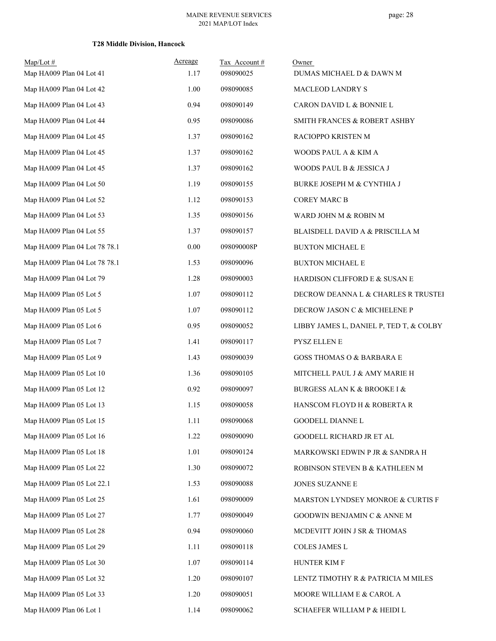| $Map/Lot \#$<br>Map HA009 Plan 04 Lot 41 | Acreage<br>1.17 | Tax Account#<br>098090025 | Owner<br>DUMAS MICHAEL D & DAWN M          |
|------------------------------------------|-----------------|---------------------------|--------------------------------------------|
| Map HA009 Plan 04 Lot 42                 | 1.00            | 098090085                 | MACLEOD LANDRY S                           |
| Map HA009 Plan 04 Lot 43                 | 0.94            | 098090149                 | CARON DAVID L & BONNIE L                   |
| Map HA009 Plan 04 Lot 44                 | 0.95            | 098090086                 | <b>SMITH FRANCES &amp; ROBERT ASHBY</b>    |
| Map HA009 Plan 04 Lot 45                 | 1.37            | 098090162                 | RACIOPPO KRISTEN M                         |
| Map HA009 Plan 04 Lot 45                 | 1.37            | 098090162                 | WOODS PAUL A & KIM A                       |
| Map HA009 Plan 04 Lot 45                 | 1.37            | 098090162                 | WOODS PAUL B & JESSICA J                   |
| Map HA009 Plan 04 Lot 50                 | 1.19            | 098090155                 | BURKE JOSEPH M & CYNTHIA J                 |
| Map HA009 Plan 04 Lot 52                 | 1.12            | 098090153                 | <b>COREY MARC B</b>                        |
| Map HA009 Plan 04 Lot 53                 | 1.35            | 098090156                 | WARD JOHN M & ROBIN M                      |
| Map HA009 Plan 04 Lot 55                 | 1.37            | 098090157                 | BLAISDELL DAVID A & PRISCILLA M            |
| Map HA009 Plan 04 Lot 78 78.1            | 0.00            | 098090008P                | <b>BUXTON MICHAEL E</b>                    |
| Map HA009 Plan 04 Lot 78 78.1            | 1.53            | 098090096                 | <b>BUXTON MICHAEL E</b>                    |
| Map HA009 Plan 04 Lot 79                 | 1.28            | 098090003                 | HARDISON CLIFFORD E & SUSAN E              |
| Map HA009 Plan 05 Lot 5                  | 1.07            | 098090112                 | DECROW DEANNA L & CHARLES R TRUSTEI        |
| Map HA009 Plan 05 Lot 5                  | 1.07            | 098090112                 | DECROW JASON C & MICHELENE P               |
| Map HA009 Plan 05 Lot 6                  | 0.95            | 098090052                 | LIBBY JAMES L, DANIEL P, TED T, & COLBY    |
| Map HA009 Plan 05 Lot 7                  | 1.41            | 098090117                 | PYSZ ELLEN E                               |
| Map HA009 Plan 05 Lot 9                  | 1.43            | 098090039                 | GOSS THOMAS O & BARBARA E                  |
| Map HA009 Plan 05 Lot 10                 | 1.36            | 098090105                 | MITCHELL PAUL J & AMY MARIE H              |
| Map HA009 Plan 05 Lot 12                 | 0.92            | 098090097                 | <b>BURGESS ALAN K &amp; BROOKE I &amp;</b> |
| Map HA009 Plan 05 Lot 13                 | 1.15            | 098090058                 | HANSCOM FLOYD H & ROBERTA R                |
| Map HA009 Plan 05 Lot 15                 | 1.11            | 098090068                 | GOODELL DIANNE L                           |
| Map HA009 Plan 05 Lot 16                 | 1.22            | 098090090                 | GOODELL RICHARD JR ET AL                   |
| Map HA009 Plan 05 Lot 18                 | 1.01            | 098090124                 | MARKOWSKI EDWIN P JR & SANDRA H            |
| Map HA009 Plan 05 Lot 22                 | 1.30            | 098090072                 | ROBINSON STEVEN B & KATHLEEN M             |
| Map HA009 Plan 05 Lot 22.1               | 1.53            | 098090088                 | JONES SUZANNE E                            |
| Map HA009 Plan 05 Lot 25                 | 1.61            | 098090009                 | MARSTON LYNDSEY MONROE & CURTIS F          |
| Map HA009 Plan 05 Lot 27                 | 1.77            | 098090049                 | GOODWIN BENJAMIN C & ANNE M                |
| Map HA009 Plan 05 Lot 28                 | 0.94            | 098090060                 | MCDEVITT JOHN J SR & THOMAS                |
| Map HA009 Plan 05 Lot 29                 | 1.11            | 098090118                 | COLES JAMES L                              |
| Map HA009 Plan 05 Lot 30                 | 1.07            | 098090114                 | HUNTER KIM F                               |
| Map HA009 Plan 05 Lot 32                 | 1.20            | 098090107                 | LENTZ TIMOTHY R & PATRICIA M MILES         |
| Map HA009 Plan 05 Lot 33                 | 1.20            | 098090051                 | MOORE WILLIAM E & CAROL A                  |
| Map HA009 Plan 06 Lot 1                  | 1.14            | 098090062                 | SCHAEFER WILLIAM P & HEIDI L               |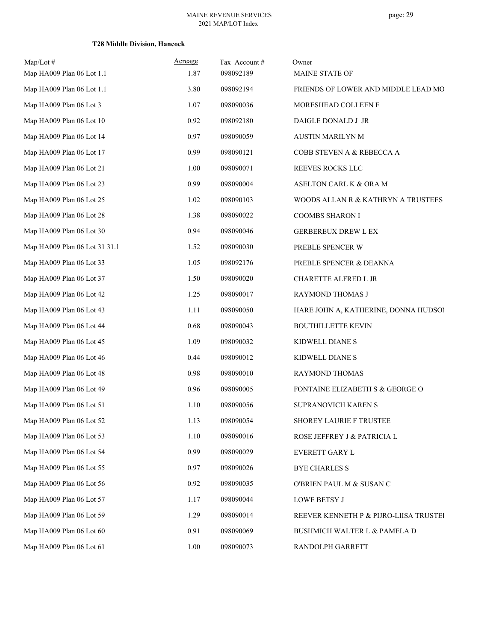| $Map/Lot \#$<br>Map HA009 Plan 06 Lot 1.1 | Acreage<br>1.87 | Tax Account#<br>098092189 | Owner<br>MAINE STATE OF                |
|-------------------------------------------|-----------------|---------------------------|----------------------------------------|
| Map HA009 Plan 06 Lot 1.1                 | 3.80            | 098092194                 | FRIENDS OF LOWER AND MIDDLE LEAD MO    |
| Map HA009 Plan 06 Lot 3                   | 1.07            | 098090036                 | MORESHEAD COLLEEN F                    |
| Map HA009 Plan 06 Lot 10                  | 0.92            | 098092180                 | DAIGLE DONALD J JR                     |
| Map HA009 Plan 06 Lot 14                  | 0.97            | 098090059                 | AUSTIN MARILYN M                       |
| Map HA009 Plan 06 Lot 17                  | 0.99            | 098090121                 | COBB STEVEN A & REBECCA A              |
| Map HA009 Plan 06 Lot 21                  | 1.00            | 098090071                 | REEVES ROCKS LLC                       |
| Map HA009 Plan 06 Lot 23                  | 0.99            | 098090004                 | ASELTON CARL K & ORA M                 |
| Map HA009 Plan 06 Lot 25                  | 1.02            | 098090103                 | WOODS ALLAN R & KATHRYN A TRUSTEES     |
| Map HA009 Plan 06 Lot 28                  | 1.38            | 098090022                 | COOMBS SHARON I                        |
| Map HA009 Plan 06 Lot 30                  | 0.94            | 098090046                 | <b>GERBEREUX DREW L EX</b>             |
| Map HA009 Plan 06 Lot 31 31.1             | 1.52            | 098090030                 | PREBLE SPENCER W                       |
| Map HA009 Plan 06 Lot 33                  | 1.05            | 098092176                 | PREBLE SPENCER & DEANNA                |
| Map HA009 Plan 06 Lot 37                  | 1.50            | 098090020                 | CHARETTE ALFRED L JR                   |
| Map HA009 Plan 06 Lot 42                  | 1.25            | 098090017                 | RAYMOND THOMAS J                       |
| Map HA009 Plan 06 Lot 43                  | 1.11            | 098090050                 | HARE JOHN A, KATHERINE, DONNA HUDSOI   |
| Map HA009 Plan 06 Lot 44                  | 0.68            | 098090043                 | <b>BOUTHILLETTE KEVIN</b>              |
| Map HA009 Plan 06 Lot 45                  | 1.09            | 098090032                 | KIDWELL DIANE S                        |
| Map HA009 Plan 06 Lot 46                  | 0.44            | 098090012                 | KIDWELL DIANE S                        |
| Map HA009 Plan 06 Lot 48                  | 0.98            | 098090010                 | RAYMOND THOMAS                         |
| Map HA009 Plan 06 Lot 49                  | 0.96            | 098090005                 | FONTAINE ELIZABETH S & GEORGE O        |
| Map HA009 Plan 06 Lot 51                  | 1.10            | 098090056                 | SUPRANOVICH KAREN S                    |
| Map HA009 Plan 06 Lot 52                  | 1.13            | 098090054                 | SHOREY LAURIE F TRUSTEE                |
| Map HA009 Plan 06 Lot 53                  | 1.10            | 098090016                 | ROSE JEFFREY J & PATRICIA L            |
| Map HA009 Plan 06 Lot 54                  | 0.99            | 098090029                 | EVERETT GARY L                         |
| Map HA009 Plan 06 Lot 55                  | 0.97            | 098090026                 | <b>BYE CHARLES S</b>                   |
| Map HA009 Plan 06 Lot 56                  | 0.92            | 098090035                 | O'BRIEN PAUL M & SUSAN C               |
| Map HA009 Plan 06 Lot 57                  | 1.17            | 098090044                 | LOWE BETSY J                           |
| Map HA009 Plan 06 Lot 59                  | 1.29            | 098090014                 | REEVER KENNETH P & PIJRO-LIISA TRUSTEI |
| Map HA009 Plan 06 Lot 60                  | 0.91            | 098090069                 | BUSHMICH WALTER L & PAMELA D           |
| Map HA009 Plan 06 Lot 61                  | 1.00            | 098090073                 | RANDOLPH GARRETT                       |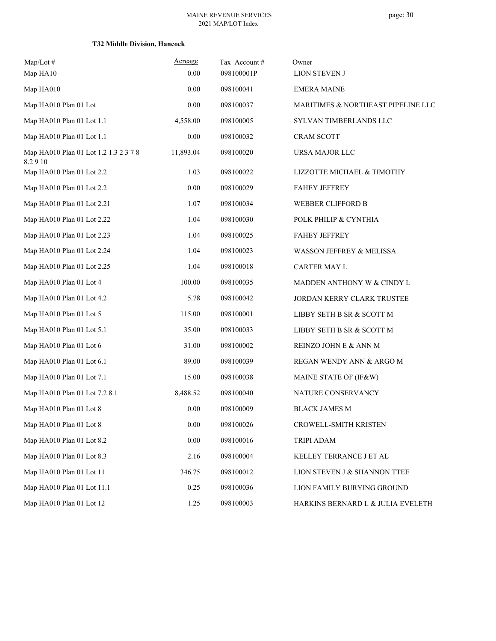| $Map/Lot \#$                                    | Acreage   | Tax Account# | Owner                              |
|-------------------------------------------------|-----------|--------------|------------------------------------|
| Map HA10                                        | 0.00      | 098100001P   | <b>LION STEVEN J</b>               |
| Map HA010                                       | 0.00      | 098100041    | <b>EMERA MAINE</b>                 |
| Map HA010 Plan 01 Lot                           | 0.00      | 098100037    | MARITIMES & NORTHEAST PIPELINE LLC |
| Map HA010 Plan 01 Lot 1.1                       | 4,558.00  | 098100005    | SYLVAN TIMBERLANDS LLC             |
| Map HA010 Plan 01 Lot 1.1                       | 0.00      | 098100032    | <b>CRAM SCOTT</b>                  |
| Map HA010 Plan 01 Lot 1.2 1.3 2 3 7 8<br>8.2910 | 11,893.04 | 098100020    | URSA MAJOR LLC                     |
| Map HA010 Plan 01 Lot 2.2                       | 1.03      | 098100022    | LIZZOTTE MICHAEL & TIMOTHY         |
| Map HA010 Plan 01 Lot 2.2                       | 0.00      | 098100029    | <b>FAHEY JEFFREY</b>               |
| Map HA010 Plan 01 Lot 2.21                      | 1.07      | 098100034    | WEBBER CLIFFORD B                  |
| Map HA010 Plan 01 Lot 2.22                      | 1.04      | 098100030    | POLK PHILIP & CYNTHIA              |
| Map HA010 Plan 01 Lot 2.23                      | 1.04      | 098100025    | <b>FAHEY JEFFREY</b>               |
| Map HA010 Plan 01 Lot 2.24                      | 1.04      | 098100023    | WASSON JEFFREY & MELISSA           |
| Map HA010 Plan 01 Lot 2.25                      | 1.04      | 098100018    | CARTER MAY L                       |
| Map HA010 Plan 01 Lot 4                         | 100.00    | 098100035    | MADDEN ANTHONY W & CINDY L         |
| Map HA010 Plan 01 Lot 4.2                       | 5.78      | 098100042    | JORDAN KERRY CLARK TRUSTEE         |
| Map HA010 Plan 01 Lot 5                         | 115.00    | 098100001    | LIBBY SETH B SR & SCOTT M          |
| Map HA010 Plan 01 Lot 5.1                       | 35.00     | 098100033    | LIBBY SETH B SR & SCOTT M          |
| Map HA010 Plan 01 Lot 6                         | 31.00     | 098100002    | REINZO JOHN E & ANN M              |
| Map HA010 Plan 01 Lot 6.1                       | 89.00     | 098100039    | REGAN WENDY ANN & ARGO M           |
| Map HA010 Plan 01 Lot 7.1                       | 15.00     | 098100038    | MAINE STATE OF (IF&W)              |
| Map HA010 Plan 01 Lot 7.2 8.1                   | 8,488.52  | 098100040    | NATURE CONSERVANCY                 |
| Map HA010 Plan 01 Lot 8                         | 0.00      | 098100009    | <b>BLACK JAMES M</b>               |
| Map HA010 Plan 01 Lot 8                         | $0.00\,$  | 098100026    | CROWELL-SMITH KRISTEN              |
| Map HA010 Plan 01 Lot 8.2                       | $0.00\,$  | 098100016    | TRIPI ADAM                         |
| Map HA010 Plan 01 Lot 8.3                       | 2.16      | 098100004    | KELLEY TERRANCE J ET AL            |
| Map HA010 Plan 01 Lot 11                        | 346.75    | 098100012    | LION STEVEN J & SHANNON TTEE       |
| Map HA010 Plan 01 Lot 11.1                      | 0.25      | 098100036    | LION FAMILY BURYING GROUND         |
| Map HA010 Plan 01 Lot 12                        | 1.25      | 098100003    | HARKINS BERNARD L & JULIA EVELETH  |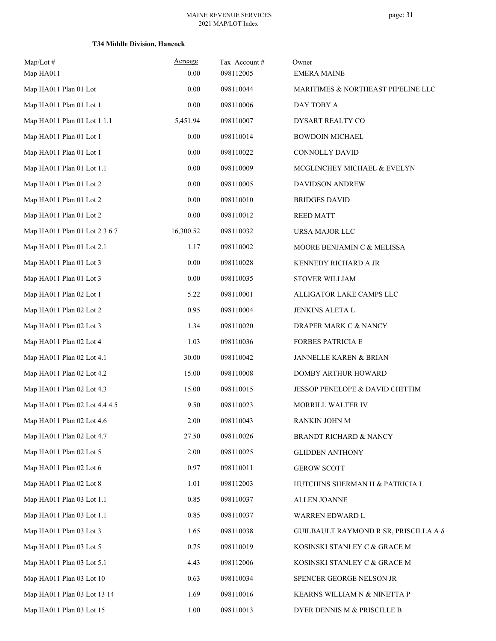| $Map/Lot \#$<br>Map HA011     | Acreage<br>0.00 | Tax Account#<br>098112005 | Owner<br><b>EMERA MAINE</b>           |
|-------------------------------|-----------------|---------------------------|---------------------------------------|
| Map HA011 Plan 01 Lot         | 0.00            | 098110044                 | MARITIMES & NORTHEAST PIPELINE LLC    |
| Map HA011 Plan 01 Lot 1       | $0.00\,$        | 098110006                 | DAY TOBY A                            |
| Map HA011 Plan 01 Lot 1 1.1   | 5,451.94        | 098110007                 | DYSART REALTY CO                      |
| Map HA011 Plan 01 Lot 1       | 0.00            | 098110014                 | <b>BOWDOIN MICHAEL</b>                |
| Map HA011 Plan 01 Lot 1       | 0.00            | 098110022                 | <b>CONNOLLY DAVID</b>                 |
| Map HA011 Plan 01 Lot 1.1     | 0.00            | 098110009                 | MCGLINCHEY MICHAEL & EVELYN           |
| Map HA011 Plan 01 Lot 2       | 0.00            | 098110005                 | DAVIDSON ANDREW                       |
| Map HA011 Plan 01 Lot 2       | $0.00\,$        | 098110010                 | <b>BRIDGES DAVID</b>                  |
| Map HA011 Plan 01 Lot 2       | 0.00            | 098110012                 | <b>REED MATT</b>                      |
| Map HA011 Plan 01 Lot 2 3 6 7 | 16,300.52       | 098110032                 | URSA MAJOR LLC                        |
| Map HA011 Plan 01 Lot 2.1     | 1.17            | 098110002                 | MOORE BENJAMIN C & MELISSA            |
| Map HA011 Plan 01 Lot 3       | 0.00            | 098110028                 | KENNEDY RICHARD A JR                  |
| Map HA011 Plan 01 Lot 3       | 0.00            | 098110035                 | <b>STOVER WILLIAM</b>                 |
| Map HA011 Plan 02 Lot 1       | 5.22            | 098110001                 | ALLIGATOR LAKE CAMPS LLC              |
| Map HA011 Plan 02 Lot 2       | 0.95            | 098110004                 | JENKINS ALETA L                       |
| Map HA011 Plan 02 Lot 3       | 1.34            | 098110020                 | DRAPER MARK C & NANCY                 |
| Map HA011 Plan 02 Lot 4       | 1.03            | 098110036                 | FORBES PATRICIA E                     |
| Map HA011 Plan 02 Lot 4.1     | 30.00           | 098110042                 | JANNELLE KAREN & BRIAN                |
| Map HA011 Plan 02 Lot 4.2     | 15.00           | 098110008                 | DOMBY ARTHUR HOWARD                   |
| Map HA011 Plan 02 Lot 4.3     | 15.00           | 098110015                 | JESSOP PENELOPE & DAVID CHITTIM       |
| Map HA011 Plan 02 Lot 4.4 4.5 | 9.50            | 098110023                 | MORRILL WALTER IV                     |
| Map HA011 Plan 02 Lot 4.6     | 2.00            | 098110043                 | RANKIN JOHN M                         |
| Map HA011 Plan 02 Lot 4.7     | 27.50           | 098110026                 | <b>BRANDT RICHARD &amp; NANCY</b>     |
| Map HA011 Plan 02 Lot 5       | 2.00            | 098110025                 | <b>GLIDDEN ANTHONY</b>                |
| Map HA011 Plan 02 Lot 6       | 0.97            | 098110011                 | <b>GEROW SCOTT</b>                    |
| Map HA011 Plan 02 Lot 8       | 1.01            | 098112003                 | HUTCHINS SHERMAN H & PATRICIA L       |
| Map HA011 Plan 03 Lot 1.1     | 0.85            | 098110037                 | <b>ALLEN JOANNE</b>                   |
| Map HA011 Plan 03 Lot 1.1     | 0.85            | 098110037                 | WARREN EDWARD L                       |
| Map HA011 Plan 03 Lot 3       | 1.65            | 098110038                 | GUILBAULT RAYMOND R SR, PRISCILLA A & |
| Map HA011 Plan 03 Lot 5       | 0.75            | 098110019                 | KOSINSKI STANLEY C & GRACE M          |
| Map HA011 Plan 03 Lot 5.1     | 4.43            | 098112006                 | KOSINSKI STANLEY C & GRACE M          |
| Map HA011 Plan 03 Lot 10      | 0.63            | 098110034                 | SPENCER GEORGE NELSON JR              |
| Map HA011 Plan 03 Lot 13 14   | 1.69            | 098110016                 | KEARNS WILLIAM N & NINETTA P          |
| Map HA011 Plan 03 Lot 15      | $1.00\,$        | 098110013                 | DYER DENNIS M & PRISCILLE B           |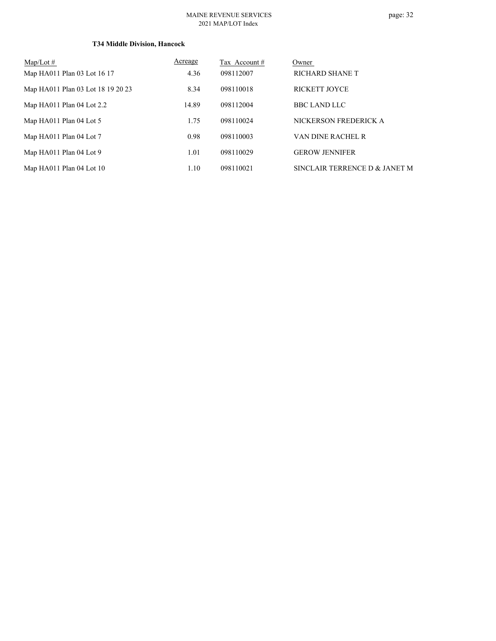#### MAINE REVENUE SERVICES 2021 MAP/LOT Index

| $Map/Lot \#$                      | Acreage | Tax Account # | Owner                         |
|-----------------------------------|---------|---------------|-------------------------------|
| Map HA011 Plan 03 Lot 16 17       | 4.36    | 098112007     | RICHARD SHANE T               |
| Map HA011 Plan 03 Lot 18 19 20 23 | 8.34    | 098110018     | <b>RICKETT JOYCE</b>          |
| Map HA011 Plan 04 Lot 2.2         | 14.89   | 098112004     | <b>BBC LAND LLC</b>           |
| Map HA011 Plan 04 Lot 5           | 1.75    | 098110024     | NICKERSON FREDERICK A         |
| Map HA011 Plan 04 Lot 7           | 0.98    | 098110003     | VAN DINE RACHEL R             |
| Map HA011 Plan 04 Lot 9           | 1.01    | 098110029     | <b>GEROW JENNIFER</b>         |
| Map HA011 Plan 04 Lot 10          | 1.10    | 098110021     | SINCLAIR TERRENCE D & JANET M |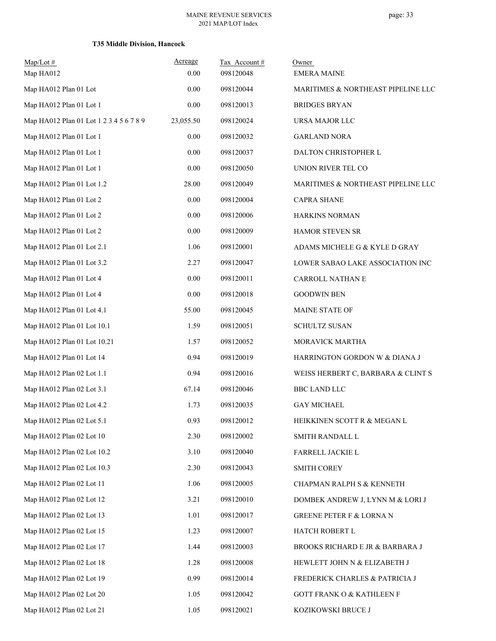| $Map/Lot \#$                            | Acreage   | Tax Account# | Owner                                |
|-----------------------------------------|-----------|--------------|--------------------------------------|
| Map HA012                               | 0.00      | 098120048    | <b>EMERA MAINE</b>                   |
| Map HA012 Plan 01 Lot                   | 0.00      | 098120044    | MARITIMES & NORTHEAST PIPELINE LLC   |
| Map HA012 Plan 01 Lot 1                 | 0.00      | 098120013    | <b>BRIDGES BRYAN</b>                 |
| Map HA012 Plan 01 Lot 1 2 3 4 5 6 7 8 9 | 23,055.50 | 098120024    | URSA MAJOR LLC                       |
| Map HA012 Plan 01 Lot 1                 | 0.00      | 098120032    | <b>GARLAND NORA</b>                  |
| Map HA012 Plan 01 Lot 1                 | 0.00      | 098120037    | DALTON CHRISTOPHER L                 |
| Map HA012 Plan 01 Lot 1                 | 0.00      | 098120050    | UNION RIVER TEL CO                   |
| Map HA012 Plan 01 Lot 1.2               | 28.00     | 098120049    | MARITIMES & NORTHEAST PIPELINE LLC   |
| Map HA012 Plan 01 Lot 2                 | 0.00      | 098120004    | <b>CAPRA SHANE</b>                   |
| Map HA012 Plan 01 Lot 2                 | 0.00      | 098120006    | HARKINS NORMAN                       |
| Map HA012 Plan 01 Lot 2                 | 0.00      | 098120009    | HAMOR STEVEN SR                      |
| Map HA012 Plan 01 Lot 2.1               | 1.06      | 098120001    | ADAMS MICHELE G & KYLE D GRAY        |
| Map HA012 Plan 01 Lot 3.2               | 2.27      | 098120047    | LOWER SABAO LAKE ASSOCIATION INC     |
| Map HA012 Plan 01 Lot 4                 | 0.00      | 098120011    | CARROLL NATHAN E                     |
| Map HA012 Plan 01 Lot 4                 | 0.00      | 098120018    | <b>GOODWIN BEN</b>                   |
| Map HA012 Plan 01 Lot 4.1               | 55.00     | 098120045    | MAINE STATE OF                       |
| Map HA012 Plan 01 Lot 10.1              | 1.59      | 098120051    | <b>SCHULTZ SUSAN</b>                 |
| Map HA012 Plan 01 Lot 10.21             | 1.57      | 098120052    | MORAVICK MARTHA                      |
| Map HA012 Plan 01 Lot 14                | 0.94      | 098120019    | HARRINGTON GORDON W & DIANA J        |
| Map HA012 Plan 02 Lot 1.1               | 0.94      | 098120016    | WEISS HERBERT C, BARBARA & CLINT S   |
| Map HA012 Plan 02 Lot 3.1               | 67.14     | 098120046    | <b>BBC LAND LLC</b>                  |
| Map HA012 Plan 02 Lot 4.2               | 1.73      | 098120035    | <b>GAY MICHAEL</b>                   |
| Map HA012 Plan 02 Lot 5.1               | 0.93      | 098120012    | HEIKKINEN SCOTT R & MEGAN L          |
| Map HA012 Plan 02 Lot 10                | 2.30      | 098120002    | SMITH RANDALL L                      |
| Map HA012 Plan 02 Lot 10.2              | 3.10      | 098120040    | FARRELL JACKIE L                     |
| Map HA012 Plan 02 Lot 10.3              | 2.30      | 098120043    | <b>SMITH COREY</b>                   |
| Map HA012 Plan 02 Lot 11                | 1.06      | 098120005    | CHAPMAN RALPH S & KENNETH            |
| Map HA012 Plan 02 Lot 12                | 3.21      | 098120010    | DOMBEK ANDREW J, LYNN M & LORI J     |
| Map HA012 Plan 02 Lot 13                | 1.01      | 098120017    | <b>GREENE PETER F &amp; LORNA N</b>  |
| Map HA012 Plan 02 Lot 15                | 1.23      | 098120007    | HATCH ROBERT L                       |
| Map HA012 Plan 02 Lot 17                | 1.44      | 098120003    | BROOKS RICHARD E JR & BARBARA J      |
| Map HA012 Plan 02 Lot 18                | 1.28      | 098120008    | HEWLETT JOHN N & ELIZABETH J         |
| Map HA012 Plan 02 Lot 19                | 0.99      | 098120014    | FREDERICK CHARLES & PATRICIA J       |
| Map HA012 Plan 02 Lot 20                | 1.05      | 098120042    | <b>GOTT FRANK O &amp; KATHLEEN F</b> |
| Map HA012 Plan 02 Lot 21                | 1.05      | 098120021    | KOZIKOWSKI BRUCE J                   |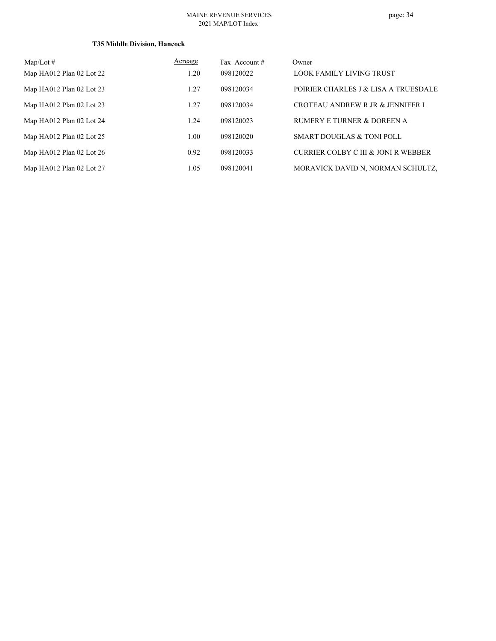#### MAINE REVENUE SERVICES 2021 MAP/LOT Index

| $Map/Lot \#$             | Acreage | Tax Account# | Owner                                |
|--------------------------|---------|--------------|--------------------------------------|
| Map HA012 Plan 02 Lot 22 | 1.20    | 098120022    | LOOK FAMILY LIVING TRUST             |
| Map HA012 Plan 02 Lot 23 | 1.27    | 098120034    | POIRIER CHARLES J & LISA A TRUESDALE |
| Map HA012 Plan 02 Lot 23 | 1.27    | 098120034    | CROTEAU ANDREW R JR & JENNIFER L     |
| Map HA012 Plan 02 Lot 24 | 1.24    | 098120023    | RUMERY E TURNER & DOREEN A           |
| Map HA012 Plan 02 Lot 25 | 1.00    | 098120020    | SMART DOUGLAS & TONI POLL            |
| Map HA012 Plan 02 Lot 26 | 0.92    | 098120033    | CURRIER COLBY C III & JONI R WEBBER  |
| Map HA012 Plan 02 Lot 27 | 1.05    | 098120041    | MORAVICK DAVID N, NORMAN SCHULTZ,    |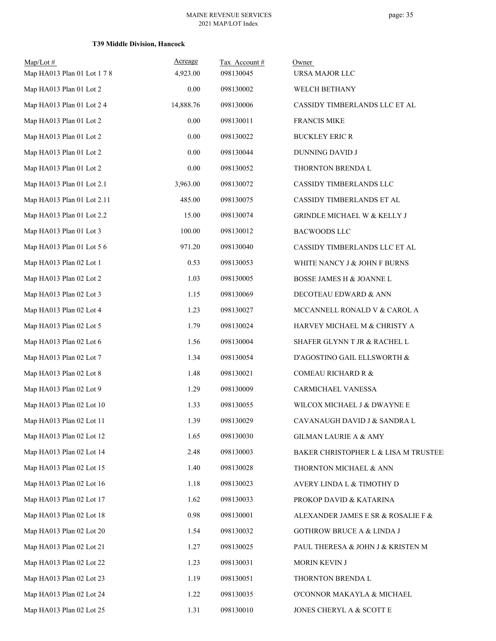| $Map/Lot$ #<br>Map HA013 Plan 01 Lot 1 7 8 | Acreage<br>4,923.00 | Tax Account#<br>098130045 | Owner<br>URSA MAJOR LLC               |
|--------------------------------------------|---------------------|---------------------------|---------------------------------------|
| Map HA013 Plan 01 Lot 2                    | 0.00                | 098130002                 | WELCH BETHANY                         |
| Map HA013 Plan 01 Lot 2 4                  | 14,888.76           | 098130006                 | CASSIDY TIMBERLANDS LLC ET AL         |
| Map HA013 Plan 01 Lot 2                    | $0.00\,$            | 098130011                 | <b>FRANCIS MIKE</b>                   |
| Map HA013 Plan 01 Lot 2                    | 0.00                | 098130022                 | <b>BUCKLEY ERIC R</b>                 |
| Map HA013 Plan 01 Lot 2                    | $0.00\,$            | 098130044                 | DUNNING DAVID J                       |
| Map HA013 Plan 01 Lot 2                    | $0.00\,$            | 098130052                 | THORNTON BRENDA L                     |
| Map HA013 Plan 01 Lot 2.1                  | 3,963.00            | 098130072                 | CASSIDY TIMBERLANDS LLC               |
| Map HA013 Plan 01 Lot 2.11                 | 485.00              | 098130075                 | CASSIDY TIMBERLANDS ET AL             |
| Map HA013 Plan 01 Lot 2.2                  | 15.00               | 098130074                 | GRINDLE MICHAEL W & KELLY J           |
| Map HA013 Plan 01 Lot 3                    | 100.00              | 098130012                 | <b>BACWOODS LLC</b>                   |
| Map HA013 Plan 01 Lot 5 6                  | 971.20              | 098130040                 | CASSIDY TIMBERLANDS LLC ET AL         |
| Map HA013 Plan 02 Lot 1                    | 0.53                | 098130053                 | WHITE NANCY J & JOHN F BURNS          |
| Map HA013 Plan 02 Lot 2                    | 1.03                | 098130005                 | BOSSE JAMES H & JOANNE L              |
| Map HA013 Plan 02 Lot 3                    | 1.15                | 098130069                 | DECOTEAU EDWARD & ANN                 |
| Map HA013 Plan 02 Lot 4                    | 1.23                | 098130027                 | MCCANNELL RONALD V & CAROL A          |
| Map HA013 Plan 02 Lot 5                    | 1.79                | 098130024                 | HARVEY MICHAEL M & CHRISTY A          |
| Map HA013 Plan 02 Lot 6                    | 1.56                | 098130004                 | SHAFER GLYNN T JR & RACHEL L          |
| Map HA013 Plan 02 Lot 7                    | 1.34                | 098130054                 | D'AGOSTINO GAIL ELLSWORTH &           |
| Map HA013 Plan 02 Lot 8                    | 1.48                | 098130021                 | COMEAU RICHARD R &                    |
| Map HA013 Plan 02 Lot 9                    | 1.29                | 098130009                 | CARMICHAEL VANESSA                    |
| Map HA013 Plan 02 Lot 10                   | 1.33                | 098130055                 | WILCOX MICHAEL J & DWAYNE E           |
| Map HA013 Plan 02 Lot 11                   | 1.39                | 098130029                 | CAVANAUGH DAVID J & SANDRA L          |
|                                            |                     |                           |                                       |
| Map HA013 Plan 02 Lot 12                   | 1.65                | 098130030                 | GILMAN LAURIE A & AMY                 |
| Map HA013 Plan 02 Lot 14                   | 2.48                | 098130003                 | BAKER CHRISTOPHER L & LISA M TRUSTEE: |
| Map HA013 Plan 02 Lot 15                   | 1.40                | 098130028                 | THORNTON MICHAEL & ANN                |
| Map HA013 Plan 02 Lot 16                   | 1.18                | 098130023                 | AVERY LINDA L & TIMOTHY D             |
| Map HA013 Plan 02 Lot 17                   | 1.62                | 098130033                 | PROKOP DAVID & KATARINA               |
| Map HA013 Plan 02 Lot 18                   | 0.98                | 098130001                 | ALEXANDER JAMES E SR & ROSALIE F &    |
| Map HA013 Plan 02 Lot 20                   | 1.54                | 098130032                 | <b>GOTHROW BRUCE A &amp; LINDA J</b>  |
| Map HA013 Plan 02 Lot 21                   | 1.27                | 098130025                 | PAUL THERESA & JOHN J & KRISTEN M     |
| Map HA013 Plan 02 Lot 22                   | 1.23                | 098130031                 | MORIN KEVIN J                         |
| Map HA013 Plan 02 Lot 23                   | 1.19                | 098130051                 | THORNTON BRENDA L                     |
| Map HA013 Plan 02 Lot 24                   | 1.22                | 098130035                 | O'CONNOR MAKAYLA & MICHAEL            |
| Map HA013 Plan 02 Lot 25                   | 1.31                | 098130010                 | JONES CHERYL A & SCOTT E              |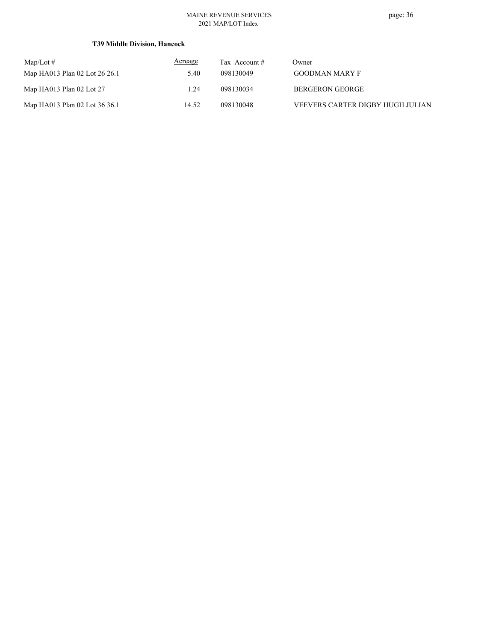#### MAINE REVENUE SERVICES 2021 MAP/LOT Index

| $\text{Map/Lot} \#$           | Acreage | Tax Account # | Owner                            |
|-------------------------------|---------|---------------|----------------------------------|
| Map HA013 Plan 02 Lot 26 26.1 | 5.40    | 098130049     | <b>GOODMAN MARY F</b>            |
| Map HA013 Plan 02 Lot $27$    | 1.24    | 098130034     | BERGERON GEORGE                  |
| Map HA013 Plan 02 Lot 36 36.1 | 14.52   | 098130048     | VEEVERS CARTER DIGBY HUGH JULIAN |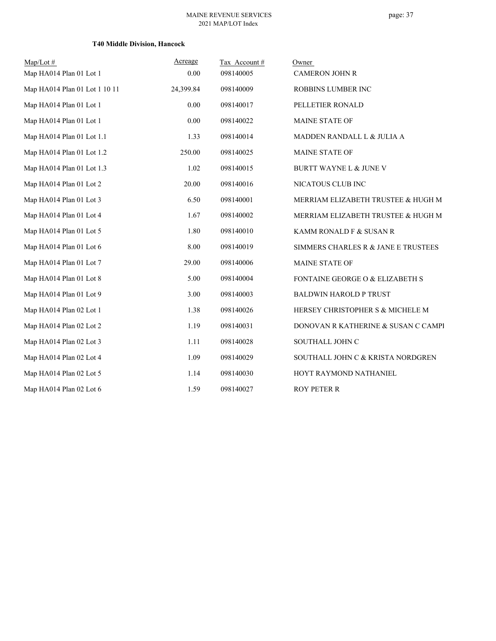| $Map/Lot \#$                  | Acreage   | Tax Account# | Owner                               |
|-------------------------------|-----------|--------------|-------------------------------------|
| Map HA014 Plan 01 Lot 1       | 0.00      | 098140005    | <b>CAMERON JOHN R</b>               |
| Map HA014 Plan 01 Lot 1 10 11 | 24,399.84 | 098140009    | ROBBINS LUMBER INC                  |
| Map HA014 Plan 01 Lot 1       | 0.00      | 098140017    | PELLETIER RONALD                    |
| Map HA014 Plan 01 Lot 1       | 0.00      | 098140022    | <b>MAINE STATE OF</b>               |
| Map HA014 Plan 01 Lot 1.1     | 1.33      | 098140014    | MADDEN RANDALL L & JULIA A          |
| Map HA014 Plan 01 Lot 1.2     | 250.00    | 098140025    | MAINE STATE OF                      |
| Map HA014 Plan 01 Lot 1.3     | 1.02      | 098140015    | BURTT WAYNE L & JUNE V              |
| Map HA014 Plan 01 Lot 2       | 20.00     | 098140016    | NICATOUS CLUB INC                   |
| Map HA014 Plan 01 Lot 3       | 6.50      | 098140001    | MERRIAM ELIZABETH TRUSTEE & HUGH M  |
| Map HA014 Plan 01 Lot 4       | 1.67      | 098140002    | MERRIAM ELIZABETH TRUSTEE & HUGH M  |
| Map HA014 Plan 01 Lot 5       | 1.80      | 098140010    | KAMM RONALD F & SUSAN R             |
| Map HA014 Plan 01 Lot 6       | 8.00      | 098140019    | SIMMERS CHARLES R & JANE E TRUSTEES |
| Map HA014 Plan 01 Lot 7       | 29.00     | 098140006    | MAINE STATE OF                      |
| Map HA014 Plan 01 Lot 8       | 5.00      | 098140004    | FONTAINE GEORGE O & ELIZABETH S     |
| Map HA014 Plan 01 Lot 9       | 3.00      | 098140003    | <b>BALDWIN HAROLD P TRUST</b>       |
| Map HA014 Plan 02 Lot 1       | 1.38      | 098140026    | HERSEY CHRISTOPHER S & MICHELE M    |
| Map HA014 Plan 02 Lot 2       | 1.19      | 098140031    | DONOVAN R KATHERINE & SUSAN C CAMPI |
| Map HA014 Plan 02 Lot 3       | 1.11      | 098140028    | SOUTHALL JOHN C                     |
| Map HA014 Plan 02 Lot 4       | 1.09      | 098140029    | SOUTHALL JOHN C & KRISTA NORDGREN   |
| Map HA014 Plan 02 Lot 5       | 1.14      | 098140030    | HOYT RAYMOND NATHANIEL              |
| Map HA014 Plan 02 Lot 6       | 1.59      | 098140027    | <b>ROY PETER R</b>                  |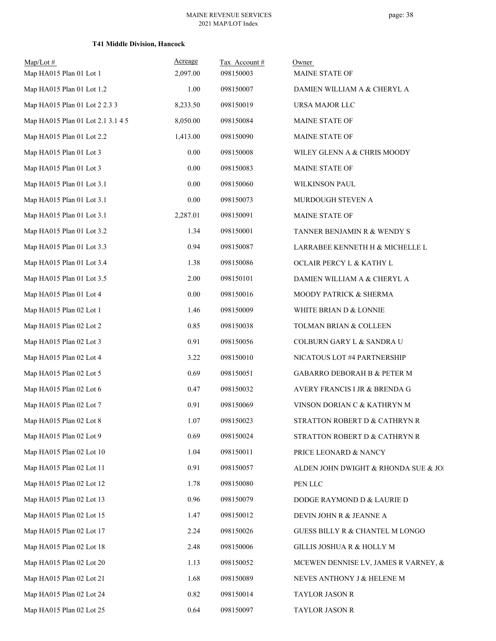| $Map/Lot$ #<br>Map HA015 Plan 01 Lot 1 | Acreage<br>2,097.00 | Tax Account#<br>098150003 | Owner<br>MAINE STATE OF              |
|----------------------------------------|---------------------|---------------------------|--------------------------------------|
| Map HA015 Plan 01 Lot 1.2              | 1.00                | 098150007                 | DAMIEN WILLIAM A & CHERYL A          |
| Map HA015 Plan 01 Lot 2 2.3 3          | 8,233.50            | 098150019                 | URSA MAJOR LLC                       |
| Map HA015 Plan 01 Lot 2.1 3.1 4 5      | 8,050.00            | 098150084                 | MAINE STATE OF                       |
| Map HA015 Plan 01 Lot 2.2              | 1,413.00            | 098150090                 | MAINE STATE OF                       |
| Map HA015 Plan 01 Lot 3                | 0.00                | 098150008                 | WILEY GLENN A & CHRIS MOODY          |
| Map HA015 Plan 01 Lot 3                | 0.00                | 098150083                 | MAINE STATE OF                       |
| Map HA015 Plan 01 Lot 3.1              | 0.00                | 098150060                 | WILKINSON PAUL                       |
| Map HA015 Plan 01 Lot 3.1              | 0.00                | 098150073                 | MURDOUGH STEVEN A                    |
| Map HA015 Plan 01 Lot 3.1              | 2,287.01            | 098150091                 | MAINE STATE OF                       |
| Map HA015 Plan 01 Lot 3.2              | 1.34                | 098150001                 | TANNER BENJAMIN R & WENDY S          |
| Map HA015 Plan 01 Lot 3.3              | 0.94                | 098150087                 | LARRABEE KENNETH H & MICHELLE L      |
| Map HA015 Plan 01 Lot 3.4              | 1.38                | 098150086                 | OCLAIR PERCY L & KATHY L             |
| Map HA015 Plan 01 Lot 3.5              | 2.00                | 098150101                 | DAMIEN WILLIAM A & CHERYL A          |
| Map HA015 Plan 01 Lot 4                | 0.00                | 098150016                 | MOODY PATRICK & SHERMA               |
| Map HA015 Plan 02 Lot 1                | 1.46                | 098150009                 | WHITE BRIAN D & LONNIE               |
| Map HA015 Plan 02 Lot 2                | 0.85                | 098150038                 | TOLMAN BRIAN & COLLEEN               |
| Map HA015 Plan 02 Lot 3                | 0.91                | 098150056                 | COLBURN GARY L & SANDRA U            |
| Map HA015 Plan 02 Lot 4                | 3.22                | 098150010                 | NICATOUS LOT #4 PARTNERSHIP          |
| Map HA015 Plan 02 Lot 5                | 0.69                | 098150051                 | GABARRO DEBORAH B & PETER M          |
| Map HA015 Plan 02 Lot 6                | 0.47                | 098150032                 | AVERY FRANCIS I JR & BRENDA G        |
| Map HA015 Plan 02 Lot 7                | 0.91                | 098150069                 | VINSON DORIAN C & KATHRYN M          |
| Map HA015 Plan 02 Lot 8                | 1.07                | 098150023                 | STRATTON ROBERT D & CATHRYN R        |
| Map HA015 Plan 02 Lot 9                | 0.69                | 098150024                 | STRATTON ROBERT D & CATHRYN R        |
| Map HA015 Plan 02 Lot 10               | 1.04                | 098150011                 | PRICE LEONARD & NANCY                |
| Map HA015 Plan 02 Lot 11               | 0.91                | 098150057                 | ALDEN JOHN DWIGHT & RHONDA SUE & JOI |
| Map HA015 Plan 02 Lot 12               | 1.78                | 098150080                 | PEN LLC                              |
| Map HA015 Plan 02 Lot 13               | 0.96                | 098150079                 | DODGE RAYMOND D & LAURIE D           |
| Map HA015 Plan 02 Lot 15               | 1.47                | 098150012                 | DEVIN JOHN R & JEANNE A              |
| Map HA015 Plan 02 Lot 17               | 2.24                | 098150026                 | GUESS BILLY R & CHANTEL M LONGO      |
| Map HA015 Plan 02 Lot 18               | 2.48                | 098150006                 | GILLIS JOSHUA R & HOLLY M            |
| Map HA015 Plan 02 Lot 20               | 1.13                | 098150052                 | MCEWEN DENNISE LV, JAMES R VARNEY, & |
| Map HA015 Plan 02 Lot 21               | 1.68                | 098150089                 | NEVES ANTHONY J & HELENE M           |
| Map HA015 Plan 02 Lot 24               | 0.82                | 098150014                 | TAYLOR JASON R                       |
| Map HA015 Plan 02 Lot 25               | 0.64                | 098150097                 | TAYLOR JASON R                       |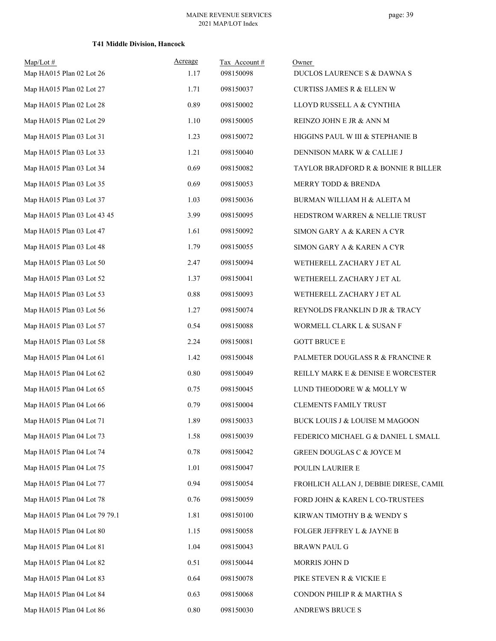| $Map/Lot \#$                  | Acreage | Tax Account # | Owner                                  |
|-------------------------------|---------|---------------|----------------------------------------|
| Map HA015 Plan 02 Lot 26      | 1.17    | 098150098     | DUCLOS LAURENCE S & DAWNA S            |
| Map HA015 Plan 02 Lot 27      | 1.71    | 098150037     | CURTISS JAMES R & ELLEN W              |
| Map HA015 Plan 02 Lot 28      | 0.89    | 098150002     | LLOYD RUSSELL A & CYNTHIA              |
| Map HA015 Plan 02 Lot 29      | 1.10    | 098150005     | REINZO JOHN E JR & ANN M               |
| Map HA015 Plan 03 Lot 31      | 1.23    | 098150072     | HIGGINS PAUL W III & STEPHANIE B       |
| Map HA015 Plan 03 Lot 33      | 1.21    | 098150040     | DENNISON MARK W & CALLIE J             |
| Map HA015 Plan 03 Lot 34      | 0.69    | 098150082     | TAYLOR BRADFORD R & BONNIE R BILLER    |
| Map HA015 Plan 03 Lot 35      | 0.69    | 098150053     | MERRY TODD & BRENDA                    |
| Map HA015 Plan 03 Lot 37      | 1.03    | 098150036     | BURMAN WILLIAM H & ALEITA M            |
| Map HA015 Plan 03 Lot 43 45   | 3.99    | 098150095     | HEDSTROM WARREN & NELLIE TRUST         |
| Map HA015 Plan 03 Lot 47      | 1.61    | 098150092     | SIMON GARY A & KAREN A CYR             |
| Map HA015 Plan 03 Lot 48      | 1.79    | 098150055     | SIMON GARY A & KAREN A CYR             |
| Map HA015 Plan 03 Lot 50      | 2.47    | 098150094     | WETHERELL ZACHARY J ET AL              |
| Map HA015 Plan 03 Lot 52      | 1.37    | 098150041     | WETHERELL ZACHARY J ET AL              |
| Map HA015 Plan 03 Lot 53      | 0.88    | 098150093     | WETHERELL ZACHARY J ET AL              |
| Map HA015 Plan 03 Lot 56      | 1.27    | 098150074     | REYNOLDS FRANKLIN D JR & TRACY         |
| Map HA015 Plan 03 Lot 57      | 0.54    | 098150088     | WORMELL CLARK L & SUSAN F              |
| Map HA015 Plan 03 Lot 58      | 2.24    | 098150081     | <b>GOTT BRUCE E</b>                    |
| Map HA015 Plan 04 Lot 61      | 1.42    | 098150048     | PALMETER DOUGLASS R & FRANCINE R       |
| Map HA015 Plan 04 Lot 62      | 0.80    | 098150049     | REILLY MARK E & DENISE E WORCESTER     |
| Map HA015 Plan 04 Lot 65      | 0.75    | 098150045     | LUND THEODORE W & MOLLY W              |
| Map HA015 Plan 04 Lot 66      | 0.79    | 098150004     | <b>CLEMENTS FAMILY TRUST</b>           |
| Map HA015 Plan 04 Lot 71      | 1.89    | 098150033     | BUCK LOUIS J & LOUISE M MAGOON         |
| Map HA015 Plan 04 Lot 73      | 1.58    | 098150039     | FEDERICO MICHAEL G & DANIEL L SMALL    |
| Map HA015 Plan 04 Lot 74      | 0.78    | 098150042     | GREEN DOUGLAS C & JOYCE M              |
| Map HA015 Plan 04 Lot 75      | 1.01    | 098150047     | POULIN LAURIER E                       |
| Map HA015 Plan 04 Lot 77      | 0.94    | 098150054     | FROHLICH ALLAN J, DEBBIE DIRESE, CAMIL |
| Map HA015 Plan 04 Lot 78      | 0.76    | 098150059     | FORD JOHN & KAREN L CO-TRUSTEES        |
| Map HA015 Plan 04 Lot 79 79.1 | 1.81    | 098150100     | KIRWAN TIMOTHY B & WENDY S             |
| Map HA015 Plan 04 Lot 80      | 1.15    | 098150058     | FOLGER JEFFREY L & JAYNE B             |
| Map HA015 Plan 04 Lot 81      | 1.04    | 098150043     | <b>BRAWN PAUL G</b>                    |
| Map HA015 Plan 04 Lot 82      | 0.51    | 098150044     | MORRIS JOHN D                          |
| Map HA015 Plan 04 Lot 83      | 0.64    | 098150078     | PIKE STEVEN R & VICKIE E               |
| Map HA015 Plan 04 Lot 84      | 0.63    | 098150068     | CONDON PHILIP R & MARTHA S             |
| Map HA015 Plan 04 Lot 86      | 0.80    | 098150030     | ANDREWS BRUCE S                        |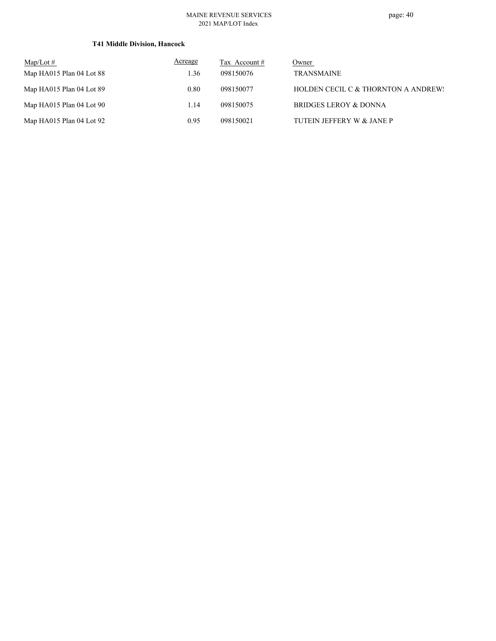#### MAINE REVENUE SERVICES 2021 MAP/LOT Index

| $\text{Map/Lot} \#$      | Acreage | Tax Account # | Owner                               |
|--------------------------|---------|---------------|-------------------------------------|
| Map HA015 Plan 04 Lot 88 | 1.36    | 098150076     | <b>TRANSMAINE</b>                   |
| Map HA015 Plan 04 Lot 89 | 0.80    | 098150077     | HOLDEN CECIL C & THORNTON A ANDREW! |
| Map HA015 Plan 04 Lot 90 | 1.14    | 098150075     | BRIDGES LEROY & DONNA               |
| Map HA015 Plan 04 Lot 92 | 0.95    | 098150021     | TUTEIN JEFFERY W & JANE P           |